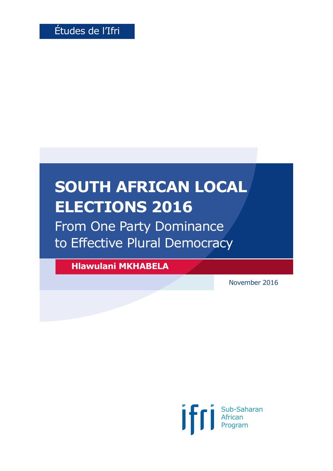# **SOUTH AFRICAN LOCAL ELECTIONS 2016**

From One Party Dominance to Effective Plural Democracy

**Hlawulani MKHABELA**

November 2016

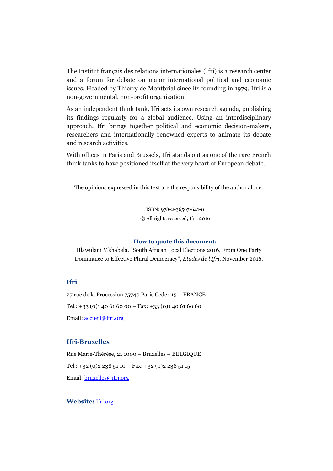The Institut français des relations internationales (Ifri) is a research center and a forum for debate on major international political and economic issues. Headed by Thierry de Montbrial since its founding in 1979, Ifri is a non-governmental, non-profit organization.

As an independent think tank, Ifri sets its own research agenda, publishing its findings regularly for a global audience. Using an interdisciplinary approach, Ifri brings together political and economic decision-makers, researchers and internationally renowned experts to animate its debate and research activities.

With offices in Paris and Brussels, Ifri stands out as one of the rare French think tanks to have positioned itself at the very heart of European debate.

The opinions expressed in this text are the responsibility of the author alone.

ISBN: 978-2-36567-641-0 © All rights reserved, Ifri, 2016

#### **How to quote this document:**

Hlawulani Mkhabela, "South African Local Elections 2016. From One Party Dominance to Effective Plural Democracy", *Études de l'Ifri*, November 2016.

#### **Ifri**

27 rue de la Procession 75740 Paris Cedex 15 – FRANCE Tel.:  $+33$  (0)1 40 61 60 00 – Fax:  $+33$  (0)1 40 61 60 60 Email: [accueil@ifri.org](mailto:accueil@ifri.org)

#### **Ifri-Bruxelles**

Rue Marie-Thérèse, 21 1000 – Bruxelles – BELGIQUE Tel.:  $+32$  (0)2 238 51 10 – Fax:  $+32$  (0)2 238 51 15 Email: [bruxelles@ifri.org](mailto:bruxelles@ifri.org)

#### **Website:** [Ifri.org](https://www.ifri.org/)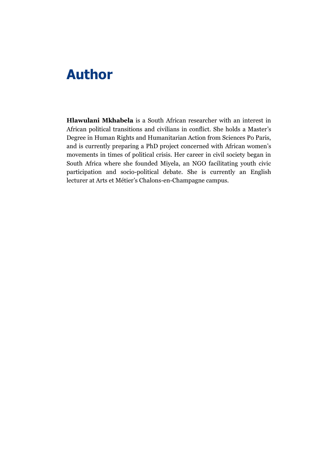## **Author**

**Hlawulani Mkhabela** is a South African researcher with an interest in African political transitions and civilians in conflict. She holds a Master's Degree in Human Rights and Humanitarian Action from Sciences Po Paris, and is currently preparing a PhD project concerned with African women's movements in times of political crisis. Her career in civil society began in South Africa where she founded Miyela, an NGO facilitating youth civic participation and socio-political debate. She is currently an English lecturer at Arts et Métier's Chalons-en-Champagne campus.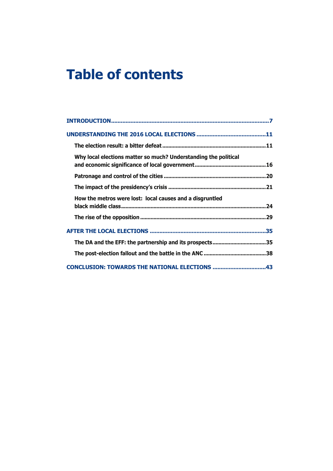## **Table of contents**

| Why local elections matter so much? Understanding the political |
|-----------------------------------------------------------------|
|                                                                 |
|                                                                 |
| How the metros were lost: local causes and a disgruntled        |
|                                                                 |
|                                                                 |
| The DA and the EFF: the partnership and its prospects35         |
|                                                                 |
| CONCLUSION: TOWARDS THE NATIONAL ELECTIONS 43                   |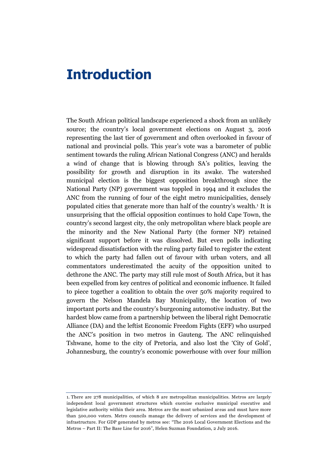## <span id="page-8-0"></span>**Introduction**

The South African political landscape experienced a shock from an unlikely source; the country's local government elections on August 3, 2016 representing the last tier of government and often overlooked in favour of national and provincial polls. This year's vote was a barometer of public sentiment towards the ruling African National Congress (ANC) and heralds a wind of change that is blowing through SA's politics, leaving the possibility for growth and disruption in its awake. The watershed municipal election is the biggest opposition breakthrough since the National Party (NP) government was toppled in 1994 and it excludes the ANC from the running of four of the eight metro municipalities, densely populated cities that generate more than half of the country's wealth.<sup>1</sup> It is unsurprising that the official opposition continues to hold Cape Town, the country's second largest city, the only metropolitan where black people are the minority and the New National Party (the former NP) retained significant support before it was dissolved. But even polls indicating widespread dissatisfaction with the ruling party failed to register the extent to which the party had fallen out of favour with urban voters, and all commentators underestimated the acuity of the opposition united to dethrone the ANC. The party may still rule most of South Africa, but it has been expelled from key centres of political and economic influence. It failed to piece together a coalition to obtain the over 50% majority required to govern the Nelson Mandela Bay Municipality, the location of two important ports and the country's burgeoning automotive industry. But the hardest blow came from a partnership between the liberal right Democratic Alliance (DA) and the leftist Economic Freedom Fights (EFF) who usurped the ANC's position in two metros in Gauteng. The ANC relinquished Tshwane, home to the city of Pretoria, and also lost the 'City of Gold', Johannesburg, the country's economic powerhouse with over four million

<sup>1.</sup> There are 278 municipalities, of which 8 are metropolitan municipalities. Metros are largely independent local government structures which exercise exclusive municipal executive and legislative authority within their area. Metros are the most urbanized areas and must have more than 500,000 voters. Metro councils manage the delivery of services and the development of infrastructure. For GDP generated by metros see: "The 2016 Local Government Elections and the Metros – Part II: The Base Line for 2016", Helen Suzman Foundation, 2 July 2016.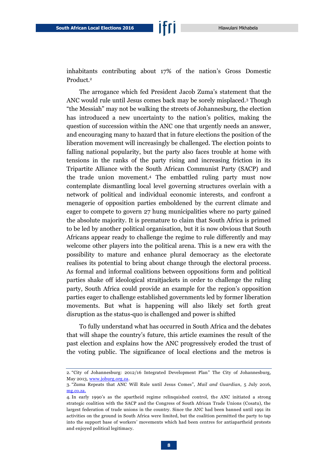inhabitants contributing about 17% of the nation's Gross Domestic Product.<sup>2</sup>

The arrogance which fed President Jacob Zuma's statement that the ANC would rule until Jesus comes back may be sorely misplaced.<sup>3</sup> Though "the Messiah" may not be walking the streets of Johannesburg, the election has introduced a new uncertainty to the nation's politics, making the question of succession within the ANC one that urgently needs an answer, and encouraging many to hazard that in future elections the position of the liberation movement will increasingly be challenged. The election points to falling national popularity, but the party also faces trouble at home with tensions in the ranks of the party rising and increasing friction in its Tripartite Alliance with the South African Communist Party (SACP) and the trade union movement.<sup>4</sup> The embattled ruling party must now contemplate dismantling local level governing structures overlain with a network of political and individual economic interests, and confront a menagerie of opposition parties emboldened by the current climate and eager to compete to govern 27 hung municipalities where no party gained the absolute majority. It is premature to claim that South Africa is primed to be led by another political organisation, but it is now obvious that South Africans appear ready to challenge the regime to rule differently and may welcome other players into the political arena. This is a new era with the possibility to mature and enhance plural democracy as the electorate realises its potential to bring about change through the electoral process. As formal and informal coalitions between oppositions form and political parties shake off ideological straitjackets in order to challenge the ruling party, South Africa could provide an example for the region's opposition parties eager to challenge established governments led by former liberation movements. But what is happening will also likely set forth great disruption as the status-quo is challenged and power is shifted

To fully understand what has occurred in South Africa and the debates that will shape the country's future, this article examines the result of the past election and explains how the ANC progressively eroded the trust of the voting public. The significance of local elections and the metros is

<sup>2.</sup> "City of Johannesburg: 2012/16 Integrated Development Plan" The City of Johannesburg, May 2013[, www.joburg.org.za.](http://www.joburg.org.za/images/stories/2013/June/2013-16%20idp%2017may2013%20final.pdf)

<sup>3.</sup> "Zuma Repeats that ANC Will Rule until Jesus Comes", *Mail and Guardian*, 5 July 2016, [mg.co.za.](http://mg.co.za/article/2016-07-05-zuma-repeats-that-anc-will-rule-until-jesus-comes)

<sup>4.</sup> In early 1990's as the apartheid regime relinquished control, the ANC initiated a strong strategic coalition with the SACP and the Congress of South African Trade Unions (Cosatu), the largest federation of trade unions in the country. Since the ANC had been banned until 1991 its activities on the ground in South Africa were limited, but the coalition permitted the party to tap into the support base of workers' movements which had been centres for antiapartheid protests and enjoyed political legitimacy.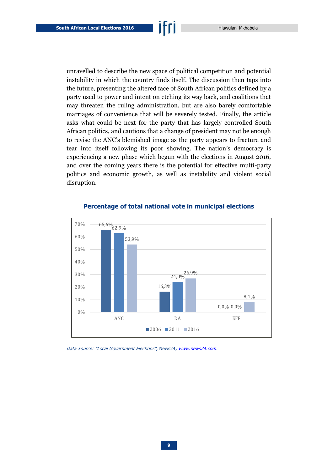unravelled to describe the new space of political competition and potential instability in which the country finds itself. The discussion then taps into the future, presenting the altered face of South African politics defined by a party used to power and intent on etching its way back, and coalitions that may threaten the ruling administration, but are also barely comfortable marriages of convenience that will be severely tested. Finally, the article asks what could be next for the party that has largely controlled South African politics, and cautions that a change of president may not be enough to revise the ANC's blemished image as the party appears to fracture and tear into itself following its poor showing. The nation's democracy is experiencing a new phase which begun with the elections in August 2016, and over the coming years there is the potential for effective multi-party politics and economic growth, as well as instability and violent social disruption.



#### **Percentage of total national vote in municipal elections**

Data Source: "Local Government Elections", News24, [www.news24.com.](http://www.news24.com/elections/results/lge%23election=pr&year=2016&map=live)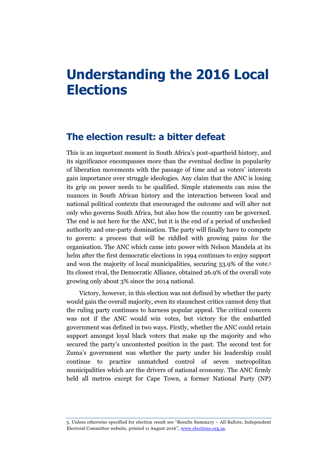## <span id="page-12-0"></span>**Understanding the 2016 Local Elections**

### <span id="page-12-1"></span>**The election result: a bitter defeat**

This is an important moment in South Africa's post-apartheid history, and its significance encompasses more than the eventual decline in popularity of liberation movements with the passage of time and as voters' interests gain importance over struggle ideologies. Any claim that the ANC is losing its grip on power needs to be qualified. Simple statements can miss the nuances in South African history and the interaction between local and national political contexts that encouraged the outcome and will alter not only who governs South Africa, but also how the country can be governed. The end is not here for the ANC, but it is the end of a period of unchecked authority and one-party domination. The party will finally have to compete to govern: a process that will be riddled with growing pains for the organisation. The ANC which came into power with Nelson Mandela at its helm after the first democratic elections in 1994 continues to enjoy support and won the majority of local municipalities, securing 53.9% of the vote.<sup>5</sup> Its closest rival, the Democratic Alliance, obtained 26.9% of the overall vote growing only about 3% since the 2014 national.

Victory, however, in this election was not defined by whether the party would gain the overall majority, even its staunchest critics cannot deny that the ruling party continues to harness popular appeal. The critical concern was not if the ANC would win votes, but victory for the embattled government was defined in two ways. Firstly, whether the ANC could retain support amongst loyal black voters that make up the majority and who secured the party's uncontested position in the past. The second test for Zuma's government was whether the party under his leadership could continue to practice unmatched control of seven metropolitan municipalities which are the drivers of national economy. The ANC firmly held all metros except for Cape Town, a former National Party (NP)

<sup>5.</sup> Unless otherwise specified for election result see "Results Summary – All Ballots, Independent Electoral Committee website, printed 11 August 2016", [www.elections.org.za.](http://www.elections.org.za/content/Elections/Municipal-elections-results/)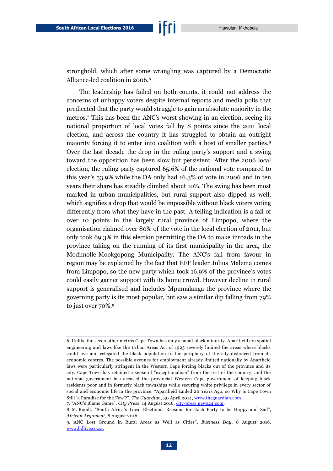stronghold, which after some wrangling was captured by a Democratic Alliance-led coalition in 2006.<sup>6</sup>

The leadership has failed on both counts, it could not address the concerns of unhappy voters despite internal reports and media polls that predicated that the party would struggle to gain an absolute majority in the metros.<sup>7</sup> This has been the ANC's worst showing in an election, seeing its national proportion of local votes fall by 8 points since the 2011 local election, and across the country it has struggled to obtain an outright majority forcing it to enter into coalition with a host of smaller parties.<sup>8</sup> Over the last decade the drop in the ruling party's support and a swing toward the opposition has been slow but persistent. After the 2006 local election, the ruling party captured 65.6% of the national vote compared to this year's 53.9% while the DA only had 16.3% of vote in 2006 and in ten years their share has steadily climbed about 10%. The swing has been most marked in urban municipalities, but rural support also dipped as well, which signifies a drop that would be impossible without black voters voting differently from what they have in the past. A telling indication is a fall of over 10 points in the largely rural province of Limpopo, where the organisation claimed over 80% of the vote in the local election of 2011, but only took 69.3% in this election permitting the DA to make inroads in the province taking on the running of its first municipality in the area, the Modimolle-Mookgopong Municipality. The ANC's fall from favour in region may be explained by the fact that EFF leader Julius Malema comes from Limpopo, so the new party which took 16.9% of the province's votes could easily garner support with its home crowd. However decline in rural support is generalised and includes Mpumalanga the province where the governing party is its most popular, but saw a similar dip falling from 79% to just over 70%.<sup>9</sup>

7. "ANC's Blame Game", *City Press*, 14 August 2016, [city-press.news24.com.](http://city-press.news24.com/News/ancs-blame-game-20160814)

<sup>6.</sup> Unlike the seven other metros Cape Town has only a small black minority. Apartheid era spatial engineering and laws like the Urban Areas Act of 1923 severely limited the areas where blacks could live and relegated the black population to the periphery of the city distanced from its economic centres. The possible avenues for employment already limited nationally by Apartheid laws were particularly stringent in the Western Cape forcing blacks out of the province and its city. Cape Town has retained a sense of "exceptionalism" from the rest of the country, and the national government has accused the provincial Western Cape government of keeping black residents poor and in formerly black townships while securing white privilege in every sector of social and economic life in the province. "Apartheid Ended 20 Years Ago, so Why is Cape Town Still 'a Paradise for the Few'?", *The Guardian*, 30 April 2014[, www.theguardian.com.](https://www.theguardian.com/cities/2014/apr/30/cape-town-apartheid-ended-still-paradise-few-south-africa)

<sup>8.</sup> M. Roodt, "South Africa's Local Elections: Reasons for Each Party to be Happy and Sad", *African Argument*, 8 August 2016.

<sup>9.</sup> "ANC Lost Ground in Rural Areas as Well as Cities", *Business Day*, 8 August 2016, [www.bdlive.co.za.](http://www.bdlive.co.za/economy/2016/08/08/anc-lost-ground-in-rural-areas-as-well-as-cities)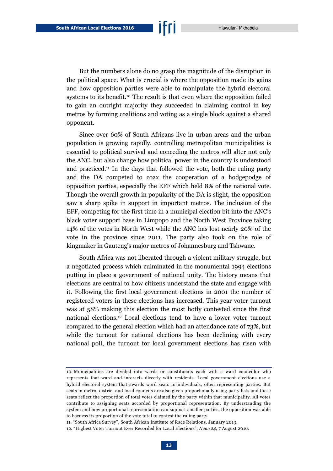But the numbers alone do no grasp the magnitude of the disruption in the political space. What is crucial is where the opposition made its gains and how opposition parties were able to manipulate the hybrid electoral systems to its benefit.<sup>10</sup> The result is that even where the opposition failed to gain an outright majority they succeeded in claiming control in key metros by forming coalitions and voting as a single block against a shared opponent.

Since over 60% of South Africans live in urban areas and the urban population is growing rapidly, controlling metropolitan municipalities is essential to political survival and conceding the metros will alter not only the ANC, but also change how political power in the country is understood and practiced.<sup>11</sup> In the days that followed the vote, both the ruling party and the DA competed to coax the cooperation of a hodgepodge of opposition parties, especially the EFF which held 8% of the national vote. Though the overall growth in popularity of the DA is slight, the opposition saw a sharp spike in support in important metros. The inclusion of the EFF, competing for the first time in a municipal election bit into the ANC's black voter support base in Limpopo and the North West Province taking 14% of the votes in North West while the ANC has lost nearly 20% of the vote in the province since 2011. The party also took on the role of kingmaker in Gauteng's major metros of Johannesburg and Tshwane.

South Africa was not liberated through a violent military struggle, but a negotiated process which culminated in the monumental 1994 elections putting in place a government of national unity. The history means that elections are central to how citizens understand the state and engage with it. Following the first local government elections in 2001 the number of registered voters in these elections has increased. This year voter turnout was at 58% making this election the most hotly contested since the first national elections.<sup>12</sup> Local elections tend to have a lower voter turnout compared to the general election which had an attendance rate of 73%, but while the turnout for national elections has been declining with every national poll, the turnout for local government elections has risen with

<sup>10.</sup> Municipalities are divided into wards or constituents each with a ward councillor who represents that ward and interacts directly with residents. Local government elections use a hybrid electoral system that awards ward seats to individuals, often representing parties. But seats in metro, district and local councils are also given proportionally using party lists and these seats reflect the proportion of total votes claimed by the party within that municipality. All votes contribute to assigning seats accorded by proportional representation. By understanding the system and how proportional representation can support smaller parties, the opposition was able to harness its proportion of the vote total to contest the ruling party.

<sup>11.</sup> "South Africa Survey", South African Institute of Race Relations, January 2013.

<sup>12.</sup> "Highest Voter Turnout Ever Recorded for Local Elections", *News24*, 7 August 2016.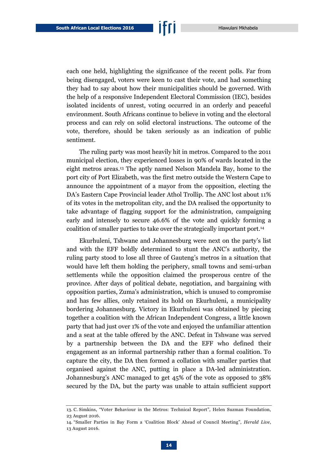each one held, highlighting the significance of the recent polls. Far from being disengaged, voters were keen to cast their vote, and had something they had to say about how their municipalities should be governed. With the help of a responsive Independent Electoral Commission (IEC), besides isolated incidents of unrest, voting occurred in an orderly and peaceful environment. South Africans continue to believe in voting and the electoral process and can rely on solid electoral instructions. The outcome of the vote, therefore, should be taken seriously as an indication of public sentiment.

The ruling party was most heavily hit in metros. Compared to the 2011 municipal election, they experienced losses in 90% of wards located in the eight metros areas.<sup>13</sup> The aptly named Nelson Mandela Bay, home to the port city of Port Elizabeth, was the first metro outside the Western Cape to announce the appointment of a mayor from the opposition, electing the DA's Eastern Cape Provincial leader Athol Trollip. The ANC lost about 11% of its votes in the metropolitan city, and the DA realised the opportunity to take advantage of flagging support for the administration, campaigning early and intensely to secure 46.6% of the vote and quickly forming a coalition of smaller parties to take over the strategically important port.<sup>14</sup>

Ekurhuleni, Tshwane and Johannesburg were next on the party's list and with the EFF boldly determined to stunt the ANC's authority, the ruling party stood to lose all three of Gauteng's metros in a situation that would have left them holding the periphery, small towns and semi-urban settlements while the opposition claimed the prosperous centre of the province. After days of political debate, negotiation, and bargaining with opposition parties, Zuma's administration, which is unused to compromise and has few allies, only retained its hold on Ekurhuleni, a municipality bordering Johannesburg. Victory in Ekurhuleni was obtained by piecing together a coalition with the African Independent Congress, a little known party that had just over 1% of the vote and enjoyed the unfamiliar attention and a seat at the table offered by the ANC. Defeat in Tshwane was served by a partnership between the DA and the EFF who defined their engagement as an informal partnership rather than a formal coalition. To capture the city, the DA then formed a collation with smaller parties that organised against the ANC, putting in place a DA-led administration. Johannesburg's ANC managed to get 45% of the vote as opposed to 38% secured by the DA, but the party was unable to attain sufficient support

<sup>13.</sup> C. Simkins, "Voter Behaviour in the Metros: Technical Report", Helen Suzman Foundation, 23 August 2016.

<sup>14.</sup> "Smaller Parties in Bay Form a 'Coalition Block' Ahead of Council Meeting", *Herald Live*, 13 August 2016.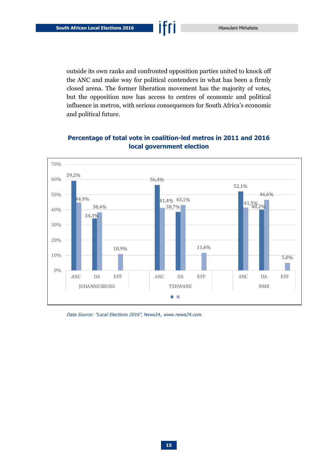outside its own ranks and confronted opposition parties united to knock off the ANC and make way for political contenders in what has been a firmly closed arena. The former liberation movement has the majority of votes, but the opposition now has access to centres of economic and political influence in metros, with serious consequences for South Africa's economic and political future.



#### **Percentage of total vote in coalition-led metros in 2011 and 2016 local government election**

Data Source: "Local Elections 2016", News24, [www.news24.com.](http://www.news24.com/elections/results/lge#election=pr&year=2016&map=live)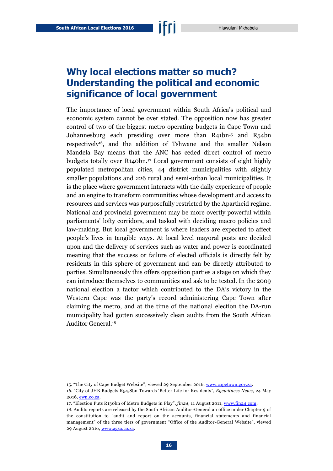## <span id="page-17-0"></span>**Why local elections matter so much? Understanding the political and economic significance of local government**

The importance of local government within South Africa's political and economic system cannot be over stated. The opposition now has greater control of two of the biggest metro operating budgets in Cape Town and Johannesburg each presiding over more than R41bn<sup>15</sup> and R54bn respectively<sup>16</sup>, and the addition of Tshwane and the smaller Nelson Mandela Bay means that the ANC has ceded direct control of metro budgets totally over R140bn.<sup>17</sup> Local government consists of eight highly populated metropolitan cities, 44 district municipalities with slightly smaller populations and 226 rural and semi-urban local municipalities. It is the place where government interacts with the daily experience of people and an engine to transform communities whose development and access to resources and services was purposefully restricted by the Apartheid regime. National and provincial government may be more overtly powerful within parliaments' lofty corridors, and tasked with deciding macro policies and law-making. But local government is where leaders are expected to affect people's lives in tangible ways. At local level mayoral posts are decided upon and the delivery of services such as water and power is coordinated meaning that the success or failure of elected officials is directly felt by residents in this sphere of government and can be directly attributed to parties. Simultaneously this offers opposition parties a stage on which they can introduce themselves to communities and ask to be tested. In the 2009 national election a factor which contributed to the DA's victory in the Western Cape was the party's record administering Cape Town after claiming the metro, and at the time of the national election the DA-run municipality had gotten successively clean audits from the South African Auditor General.<sup>18</sup>

<sup>15. &</sup>quot;The City of Cape Budget Website", viewed 29 September 2016[, www.capetown.gov.za.](https://www.capetown.gov.za/en/budget/Pages/default.aspx)

<sup>16.</sup> "City of JHB Budgets R54,8bn Towards 'Better Life for Residents", *Eyewitness News*, 24 May 2016[, ewn.co.za.](http://ewn.co.za/2016/05/24/City-of-Jhb-aside-R548-bln-towards-better-life-for-residents)

<sup>17.</sup> "Election Puts R130bn of Metro Budgets in Play", *fin24*, 11 August 2011[, www.fin24.com.](http://www.fin24.com/Economy/election-puts-r130bn-of-city-budgets-in-play-20160811)

<sup>18.</sup> Audits reports are released by the South African Auditor-General an office under Chapter 9 of the constitution to "audit and report on the accounts, financial statements and financial management" of the three tiers of government "Office of the Auditor -General Website", viewed 29 August 2016[, www.agsa.co.za.](https://www.agsa.co.za/About/Legislation.aspx)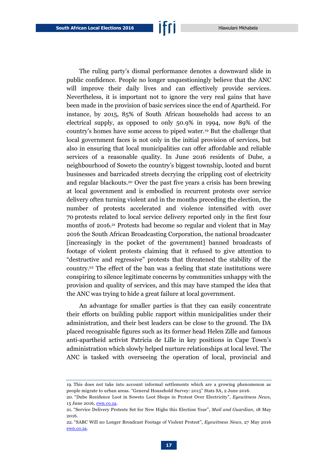The ruling party's dismal performance denotes a downward slide in public confidence. People no longer unquestioningly believe that the ANC will improve their daily lives and can effectively provide services. Nevertheless, it is important not to ignore the very real gains that have been made in the provision of basic services since the end of Apartheid. For instance, by 2015, 85% of South African households had access to an electrical supply, as opposed to only 50.9% in 1994, now 89% of the country's homes have some access to piped water.<sup>19</sup> But the challenge that local government faces is not only in the initial provision of services, but also in ensuring that local municipalities can offer affordable and reliable services of a reasonable quality. In June 2016 residents of Dube, a neighbourhood of Soweto the country's biggest township, looted and burnt businesses and barricaded streets decrying the crippling cost of electricity and regular blackouts.<sup>20</sup> Over the past five years a crisis has been brewing at local government and is embodied in recurrent protests over service delivery often turning violent and in the months preceding the election, the number of protests accelerated and violence intensified with over 70 protests related to local service delivery reported only in the first four months of 2016.<sup>21</sup> Protests had become so regular and violent that in May 2016 the South African Broadcasting Corporation, the national broadcaster [increasingly in the pocket of the government] banned broadcasts of footage of violent protests claiming that it refused to give attention to "destructive and regressive" protests that threatened the stability of the country.<sup>22</sup> The effect of the ban was a feeling that state institutions were conspiring to silence legitimate concerns by communities unhappy with the provision and quality of services, and this may have stamped the idea that the ANC was trying to hide a great failure at local government.

An advantage for smaller parties is that they can easily concentrate their efforts on building public rapport within municipalities under their administration, and their best leaders can be close to the ground. The DA placed recognisable figures such as its former head Helen Zille and famous anti-apartheid activist Patricia de Lille in key positions in Cape Town's administration which slowly helped nurture relationships at local level. The ANC is tasked with overseeing the operation of local, provincial and

<sup>19.</sup> This does not take into account informal settlements which are a growing phenomenon as people migrate to urban areas. "General Household Survey: 2015" Stats SA, 2 June 2016.

<sup>20.</sup> "Dube Residence Loot in Soweto Loot Shops in Protest Over Electricity", *Eyewitness News*, 15 June 2016, [ewn.co.za.](http://ewn.co.za/2016/06/15/Looting-vanadalism-as-Dube-residents-protest-over-electricity)

<sup>21.</sup> "Service Delivery Protests Set for New Highs this Election Year", *Mail and Guardian*, 18 May 2016.

<sup>22.</sup> "SABC Will no Longer Broadcast Footage of Violent Protest", *Eyewitness News*, 27 May 2016 [ewn.co.za.](http://ewn.co.za/2016/05/27/SABC-will-no-longer-broadcast-footage-displaying-violent-protests)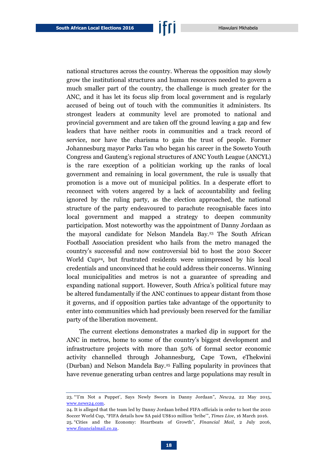national structures across the country. Whereas the opposition may slowly grow the institutional structures and human resources needed to govern a much smaller part of the country, the challenge is much greater for the ANC, and it has let its focus slip from local government and is regularly accused of being out of touch with the communities it administers. Its strongest leaders at community level are promoted to national and provincial government and are taken off the ground leaving a gap and few leaders that have neither roots in communities and a track record of service, nor have the charisma to gain the trust of people. Former Johannesburg mayor Parks Tau who began his career in the Soweto Youth Congress and Gauteng's regional structures of ANC Youth League (ANCYL) is the rare exception of a politician working up the ranks of local government and remaining in local government, the rule is usually that promotion is a move out of municipal politics. In a desperate effort to reconnect with voters angered by a lack of accountability and feeling ignored by the ruling party, as the election approached, the national structure of the party endeavoured to parachute recognisable faces into local government and mapped a strategy to deepen community participation. Most noteworthy was the appointment of Danny Jordaan as the mayoral candidate for Nelson Mandela Bay.<sup>23</sup> The South African Football Association president who hails from the metro managed the country's successful and now controversial bid to host the 2010 Soccer World Cup<sup>24</sup>, but frustrated residents were unimpressed by his local

credentials and unconvinced that he could address their concerns. Winning local municipalities and metros is not a guarantee of spreading and expanding national support. However, South Africa's political future may be altered fundamentally if the ANC continues to appear distant from those it governs, and if opposition parties take advantage of the opportunity to enter into communities which had previously been reserved for the familiar party of the liberation movement.

The current elections demonstrates a marked dip in support for the ANC in metros, home to some of the country's biggest development and infrastructure projects with more than 50% of formal sector economic activity channelled through Johannesburg, Cape Town, eThekwini (Durban) and Nelson Mandela Bay.<sup>25</sup> Falling popularity in provinces that have revenue generating urban centres and large populations may result in

<sup>23.</sup> "'I'm Not a Puppet', Says Newly Sworn in Danny Jordaan", *New24*, 22 May 2015, [www.news24.com.](http://www.news24.com/SouthAfrica/News/Im-not-a-puppet-says-newly-sworn-in-Danny-Jordaan-2015052)

<sup>24.</sup> It is alleged that the team led by Danny Jordaan bribed FIFA officials in order to host the 2010 Soccer World Cup, "FIFA details how SA paid US\$10 million 'bribe'", *Times Live*, 16 March 2016. 25. "Cities and the Economy: Heartbeats of Growth", *Financial Mail*, 2 July 2016, [www.financialmail.co.za.](http://www.financialmail.co.za/)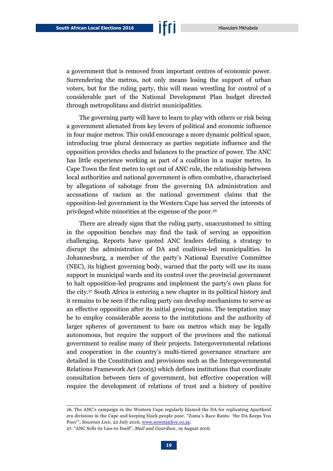a government that is removed from important centres of economic power. Surrendering the metros, not only means losing the support of urban voters, but for the ruling party, this will mean wrestling for control of a considerable part of the National Development Plan budget directed through metropolitans and district municipalities.

The governing party will have to learn to play with others or risk being a government alienated from key levers of political and economic influence in four major metros. This could encourage a more dynamic political space, introducing true plural democracy as parties negotiate influence and the opposition provides checks and balances to the practice of power. The ANC has little experience working as part of a coalition in a major metro. In Cape Town the first metro to opt out of ANC rule, the relationship between local authorities and national government is often combative, characterised by allegations of sabotage from the governing DA administration and accusations of racism as the national government claims that the opposition-led government in the Western Cape has served the interests of privileged white minorities at the expense of the poor.<sup>26</sup>

There are already signs that the ruling party, unaccustomed to sitting in the opposition benches may find the task of serving as opposition challenging. Reports have quoted ANC leaders defining a strategy to disrupt the administration of DA and coalition-led municipalities. In Johannesburg, a member of the party's National Executive Committee (NEC), its highest governing body, warned that the party will use its mass support in municipal wards and its control over the provincial government to halt opposition-led programs and implement the party's own plans for the city.<sup>27</sup> South Africa is entering a new chapter in its political history and it remains to be seen if the ruling party can develop mechanisms to serve as an effective opposition after its initial growing pains. The temptation may be to employ considerable access to the institutions and the authority of larger spheres of government to bare on metros which may be legally autonomous, but require the support of the provinces and the national government to realise many of their projects. Intergovernmental relations and cooperation in the country's multi-tiered governance structure are detailed in the Constitution and provisions such as the Intergovernmental Relations Framework Act (2005) which defines institutions that coordinate consultation between tiers of government, but effective cooperation will require the development of relations of trust and a history of positive

<sup>26.</sup> The ANC's campaign in the Western Cape regularly blamed the DA for replicating Apartheid era divisions in the Cape and keeping black people poor. "Zuma's Race Rants- 'the DA Keeps You Poor'", *Sowetan Live*, 22 July 2016, [www.sowetanlive.co.za.](http://www.sowetanlive.co.za/news/2016/07/22/zuma-s-race-rants---the-da-keeps-you-poor)

<sup>27.</sup> "ANC Sells its Lies-to Itself", *Mail and Guardian*, 19 August 2016.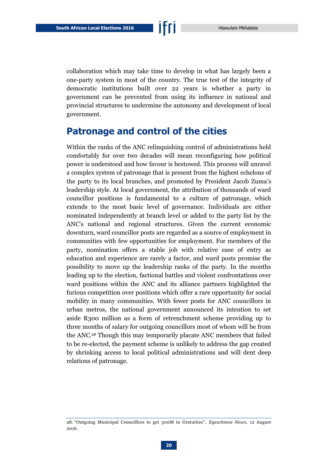collaboration which may take time to develop in what has largely been a one-party system in most of the country. The true test of the integrity of democratic institutions built over 22 years is whether a party in government can be prevented from using its influence in national and provincial structures to undermine the autonomy and development of local government.

### <span id="page-21-0"></span>**Patronage and control of the cities**

Within the ranks of the ANC relinquishing control of administrations held comfortably for over two decades will mean reconfiguring how political power is understood and how favour is bestowed. This process will unravel a complex system of patronage that is present from the highest echelons of the party to its local branches, and promoted by President Jacob Zuma's leadership style. At local government, the attribution of thousands of ward councillor positions is fundamental to a culture of patronage, which extends to the most basic level of governance. Individuals are either nominated independently at branch level or added to the party list by the ANC's national and regional structures. Given the current economic downturn, ward councillor posts are regarded as a source of employment in communities with few opportunities for employment. For members of the party, nomination offers a stable job with relative ease of entry as education and experience are rarely a factor, and ward posts promise the possibility to move up the leadership ranks of the party. In the months leading up to the election, factional battles and violent confrontations over ward positions within the ANC and its alliance partners highlighted the furious competition over positions which offer a rare opportunity for social mobility in many communities. With fewer posts for ANC councillors in urban metros, the national government announced its intention to set aside R300 million as a form of retrenchment scheme providing up to three months of salary for outgoing councillors most of whom will be from the ANC.<sup>28</sup> Though this may temporarily placate ANC members that failed to be re-elected, the payment scheme is unlikely to address the gap created by shrinking access to local political administrations and will dent deep relations of patronage.

<sup>28.</sup> "Outgoing Municipal Councillors to get 300M in Gratuities", *Eyewitness News*, 12 August 2016.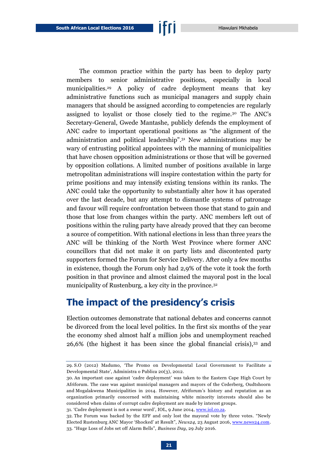The common practice within the party has been to deploy party members to senior administrative positions, especially in local municipalities.<sup>29</sup> A policy of cadre deployment means that key administrative functions such as municipal managers and supply chain managers that should be assigned according to competencies are regularly assigned to loyalist or those closely tied to the regime.<sup>30</sup> The ANC's Secretary-General, Gwede Mantashe, publicly defends the employment of ANC cadre to important operational positions as "the alignment of the administration and political leadership".<sup>31</sup> New administrations may be wary of entrusting political appointees with the manning of municipalities that have chosen opposition administrations or those that will be governed by opposition collations. A limited number of positions available in large metropolitan administrations will inspire contestation within the party for prime positions and may intensify existing tensions within its ranks. The ANC could take the opportunity to substantially alter how it has operated over the last decade, but any attempt to dismantle systems of patronage and favour will require confrontation between those that stand to gain and those that lose from changes within the party. ANC members left out of positions within the ruling party have already proved that they can become a source of competition. With national elections in less than three years the ANC will be thinking of the North West Province where former ANC councillors that did not make it on party lists and discontented party supporters formed the Forum for Service Delivery. After only a few months in existence, though the Forum only had 2,9% of the vote it took the forth position in that province and almost claimed the mayoral post in the local

### <span id="page-22-0"></span>**The impact of the presidency's crisis**

municipality of Rustenburg, a key city in the province.<sup>32</sup>

Election outcomes demonstrate that national debates and concerns cannot be divorced from the local level politics. In the first six months of the year the economy shed almost half a million jobs and unemployment reached 26,6% (the highest it has been since the global financial crisis),<sup>33</sup> and

31. 'Cadre deployment is not a swear word', IOL, 9 June 2014[, www.iol.co.za.](http://www.iol.co.za/news/politics/cadre-deployment-is-not-a-swear-word-1700557)

<sup>29.</sup> S.O (2012) Madumo, 'The Promo on Developmental Local Government to Facilitate a Developmental State', Administra o Publica 20(3), 2012.

<sup>30.</sup> An important case against 'cadre deployment' was taken to the Eastern Cape High Court by Afriforum. The case was against municipal managers and mayors of the Cederberg, Oudtshoorn and Mogalakwena Municipalities in 2014. However, Afriforum's history and reputation as an organization primarily concerned with maintaining white minority interests should also be considered when claims of corrupt cadre deployment are made by interest groups.

<sup>32.</sup> The Forum was backed by the EFF and only lost the mayoral vote by three votes. "Newly Elected Rustenburg ANC Mayor 'Shocked' at Result", *News24*, 23 August 2016[, www.news24.com.](http://www.news24.com/elections/news/newly-elected-rustenburg-anc-mayor-shocked-at-result-20160823) 33. "Huge Loss of Jobs set off Alarm Bells", *Business Day*, 29 July 2016.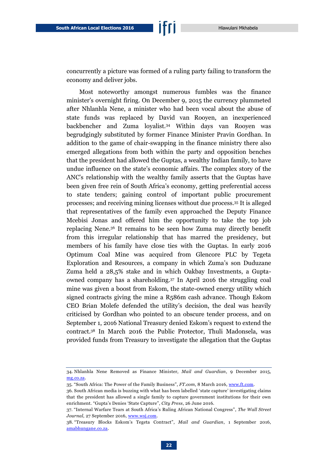concurrently a picture was formed of a ruling party failing to transform the economy and deliver jobs.

Most noteworthy amongst numerous fumbles was the finance minister's overnight firing. On December 9, 2015 the currency plummeted after Nhlanhla Nene, a minister who had been vocal about the abuse of state funds was replaced by David van Rooyen, an inexperienced backbencher and Zuma loyalist.<sup>34</sup> Within days van Rooyen was begrudgingly substituted by former Finance Minister Pravin Gordhan. In addition to the game of chair-swapping in the finance ministry there also emerged allegations from both within the party and opposition benches that the president had allowed the Guptas, a wealthy Indian family, to have undue influence on the state's economic affairs. The complex story of the ANC's relationship with the wealthy family asserts that the Guptas have been given free rein of South Africa's economy, getting preferential access to state tenders; gaining control of important public procurement processes; and receiving mining licenses without due process.<sup>35</sup> It is alleged that representatives of the family even approached the Deputy Finance Mcebisi Jonas and offered him the opportunity to take the top job replacing Nene.<sup>36</sup> It remains to be seen how Zuma may directly benefit from this irregular relationship that has marred the presidency, but members of his family have close ties with the Guptas. In early 2016 Optimum Coal Mine was acquired from Glencore PLC by Tegeta Exploration and Resources, a company in which Zuma's son Duduzane Zuma held a 28,5% stake and in which Oakbay Investments, a Guptaowned company has a shareholding.<sup>37</sup> In April 2016 the struggling coal mine was given a boost from Eskom, the state-owned energy utility which signed contracts giving the mine a R586m cash advance. Though Eskom CEO Brian Molefe defended the utility's decision, the deal was heavily criticised by Gordhan who pointed to an obscure tender process, and on September 1, 2016 National Treasury denied Eskom's request to extend the contract.<sup>38</sup> In March 2016 the Public Protector, Thuli Madonsela, was provided funds from Treasury to investigate the allegation that the Guptas

<sup>34.</sup> Nhlanhla Nene Removed as Finance Minister, *Mail and Guardian*, 9 December 2015, [mg.co.za.](http://mg.co.za/article/2015-12-09-nhlanhla-nene-removed-as-finance-minister)

<sup>35.</sup> "South Africa: The Power of the Family Business", *FT.com*, 8 March 2016, [www.ft.com.](http://www.ft.com/cms/s/0/abd6e034-e519-11e5-a09b-1f8b0d268c39.html#axzz4IyXMZ9FA)

<sup>36.</sup> South African media is buzzing with what has been labelled 'state capture' investigating claims that the president has allowed a single family to capture government institutions for their own enrichment. "Gupta's Denies 'State Capture", *City Press*, 26 June 2016.

<sup>37.</sup> "Internal Warfare Tears at South Africa's Ruling African National Congress", *The Wall Street Journal*, 27 September 2016, [www.wsj.com.](http://www.wsj.com/articles/internal-warfare-tears-at-south-africas-ruling-african-national-congress-1475013829)

<sup>38.</sup> "Treasury Blocks Eskom's Tegeta Contract", *Mail and Guardian*, 1 September 2016, [amabhungane.co.za.](http://amabhungane.co.za/article/2016-09-01-treasury-blocks-eskoms-tegeta-contract)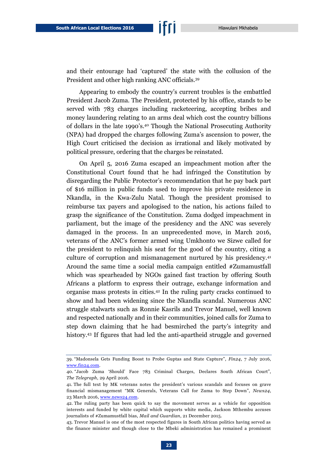and their entourage had 'captured' the state with the collusion of the

President and other high ranking ANC officials.<sup>39</sup>

Appearing to embody the country's current troubles is the embattled President Jacob Zuma. The President, protected by his office, stands to be served with 783 charges including racketeering, accepting bribes and money laundering relating to an arms deal which cost the country billions of dollars in the late 1990's.<sup>40</sup> Though the National Prosecuting Authority (NPA) had dropped the charges following Zuma's ascension to power, the High Court criticised the decision as irrational and likely motivated by political pressure, ordering that the charges be reinstated.

On April 5, 2016 Zuma escaped an impeachment motion after the Constitutional Court found that he had infringed the Constitution by disregarding the Public Protector's recommendation that he pay back part of \$16 million in public funds used to improve his private residence in Nkandla, in the Kwa-Zulu Natal. Though the president promised to reimburse tax payers and apologised to the nation, his actions failed to grasp the significance of the Constitution. Zuma dodged impeachment in parliament, but the image of the presidency and the ANC was severely damaged in the process. In an unprecedented move, in March 2016, veterans of the ANC's former armed wing Umkhonto we Sizwe called for the president to relinquish his seat for the good of the country, citing a culture of corruption and mismanagement nurtured by his presidency.<sup>41</sup> Around the same time a social media campaign entitled #Zumamustfall which was spearheaded by NGOs gained fast traction by offering South Africans a platform to express their outrage, exchange information and organise mass protests in cities.<sup>42</sup> In the ruling party cracks continued to show and had been widening since the Nkandla scandal. Numerous ANC struggle stalwarts such as Ronnie Kasrils and Trevor Manuel, well known and respected nationally and in their communities, joined calls for Zuma to step down claiming that he had besmirched the party's integrity and history.<sup>43</sup> If figures that had led the anti-apartheid struggle and governed

<sup>39.</sup> "Madonsela Gets Funding Boost to Probe Guptas and State Capture", *Fin24*, 7 July 2016, [www.fin24.com.](http://www.fin24.com/Economy/madonsela-gets-funding-boost-to-probe-guptas-and-state-capture-20160707)

<sup>40.</sup> "Jacob Zuma 'Should' Face 783 Criminal Charges, Declares South African Court", *The Telegraph*, 29 April 2016.

<sup>41.</sup> The full text by MK veterans notes the president's various scandals and focuses on grave financial mismanagement "MK Generals, Veterans Call for Zuma to Step Down", *News24*, 23 March 2016, [www.news24.com.](http://www.news24.com/SouthAfrica/News/full-text-mk-generals-veterans-call-for-zuma-to-step-down-20160323)

<sup>42.</sup> The ruling party has been quick to say the movement serves as a vehicle for opposition interests and funded by white capital which supports white media, Jackson Mthembu accuses journalists of #Zumamustfall bias, *Mail and Guardian*, 21 December 2015.

<sup>43.</sup> Trevor Manuel is one of the most respected figures in South African politics having served as the finance minister and though close to the Mbeki administration has remained a prominent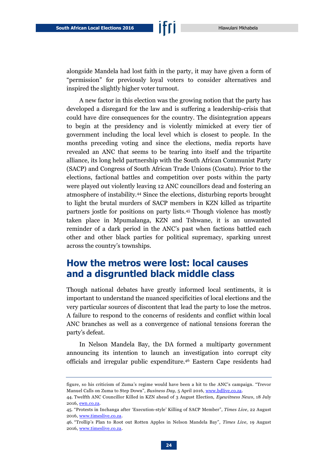alongside Mandela had lost faith in the party, it may have given a form of "permission" for previously loyal voters to consider alternatives and inspired the slightly higher voter turnout.

A new factor in this election was the growing notion that the party has developed a disregard for the law and is suffering a leadership-crisis that could have dire consequences for the country. The disintegration appears to begin at the presidency and is violently mimicked at every tier of government including the local level which is closest to people. In the months preceding voting and since the elections, media reports have revealed an ANC that seems to be tearing into itself and the tripartite alliance, its long held partnership with the South African Communist Party (SACP) and Congress of South African Trade Unions (Cosatu). Prior to the elections, factional battles and competition over posts within the party were played out violently leaving 12 ANC councillors dead and fostering an atmosphere of instability.<sup>44</sup> Since the elections, disturbing reports brought to light the brutal murders of SACP members in KZN killed as tripartite partners jostle for positions on party lists.<sup>45</sup> Though violence has mostly taken place in Mpumalanga, KZN and Tshwane, it is an unwanted reminder of a dark period in the ANC's past when factions battled each other and other black parties for political supremacy, sparking unrest across the country's townships.

### <span id="page-25-0"></span>**How the metros were lost: local causes and a disgruntled black middle class**

Though national debates have greatly informed local sentiments, it is important to understand the nuanced specificities of local elections and the very particular sources of discontent that lead the party to lose the metros. A failure to respond to the concerns of residents and conflict within local ANC branches as well as a convergence of national tensions foreran the party's defeat.

In Nelson Mandela Bay, the DA formed a multiparty government announcing its intention to launch an investigation into corrupt city officials and irregular public expenditure.<sup>46</sup> Eastern Cape residents had

figure, so his criticism of Zuma's regime would have been a hit to the ANC's campaign. "Trevor Manuel Calls on Zuma to Step Down", *Business Day*, 5 April 2016[, www.bdlive.co.za.](http://www.bdlive.co.za/national/2016/04/05/trevor-manuel-calls-on-zuma-to-step-down)

<sup>44.</sup> Twelfth ANC Councillor Killed in KZN ahead of 3 August Election, *Eyewitness News*, 18 July 2016[, ewn.co.za.](http://ewn.co.za/2016/07/18/Twelfth-ANC-councillor-killed-in-KZN-ahead-of-August-election)

<sup>45.</sup> "Protests in Inchanga after 'Execution-style' Killing of SACP Member", *Times Live*, 22 August 2016[, www.timeslive.co.za.](http://www.timeslive.co.za/politics/2016/08/22/Protests-in-Inchanga-after-%E2%80%98execution-style%E2%80%99-killing-of-SACP-member)

<sup>46.</sup> "Trollip's Plan to Root out Rotten Apples in Nelson Mandela Bay", *Times Live*, 19 August 2016[, www.timeslive.co.za.](http://www.timeslive.co.za/politics/2016/08/19/Trollips-plan-to-root-out-rotten-apples-in-Nelson-Mandela-Bay)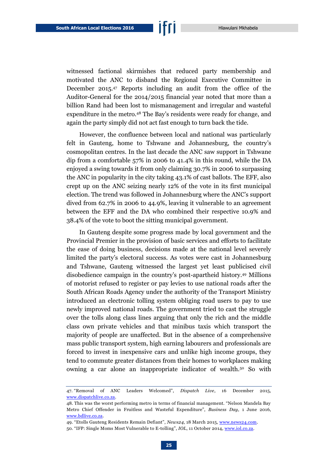witnessed factional skirmishes that reduced party membership and motivated the ANC to disband the Regional Executive Committee in December 2015.<sup>47</sup> Reports including an audit from the office of the Auditor-General for the 2014/2015 financial year noted that more than a billion Rand had been lost to mismanagement and irregular and wasteful expenditure in the metro.<sup>48</sup> The Bay's residents were ready for change, and again the party simply did not act fast enough to turn back the tide.

However, the confluence between local and national was particularly felt in Gauteng, home to Tshwane and Johannesburg, the country's cosmopolitan centres. In the last decade the ANC saw support in Tshwane dip from a comfortable 57% in 2006 to 41.4% in this round, while the DA enjoyed a swing towards it from only claiming 30.7% in 2006 to surpassing the ANC in popularity in the city taking 43.1% of cast ballots. The EFF, also crept up on the ANC seizing nearly 12% of the vote in its first municipal election. The trend was followed in Johannesburg where the ANC's support dived from 62.7% in 2006 to 44.9%, leaving it vulnerable to an agreement between the EFF and the DA who combined their respective 10.9% and 38.4% of the vote to boot the sitting municipal government.

In Gauteng despite some progress made by local government and the Provincial Premier in the provision of basic services and efforts to facilitate the ease of doing business, decisions made at the national level severely limited the party's electoral success. As votes were cast in Johannesburg and Tshwane, Gauteng witnessed the largest yet least publicised civil disobedience campaign in the country's post-apartheid history. <sup>49</sup> Millions of motorist refused to register or pay levies to use national roads after the South African Roads Agency under the authority of the Transport Ministry introduced an electronic tolling system obliging road users to pay to use newly improved national roads. The government tried to cast the struggle over the tolls along class lines arguing that only the rich and the middle class own private vehicles and that minibus taxis which transport the majority of people are unaffected. But in the absence of a comprehensive mass public transport system, high earning labourers and professionals are forced to invest in inexpensive cars and unlike high income groups, they tend to commute greater distances from their homes to workplaces making owning a car alone an inappropriate indicator of wealth.<sup>50</sup> So with

<sup>47.</sup> "Removal of ANC Leaders Welcomed", *Dispatch Live*, 16 December 2015, [www.dispatchlive.co.za.](http://www.dispatchlive.co.za/news/2014/12/17/removal-of-anc-leaders-welcomed/)

<sup>48.</sup> This was the worst performing metro in terms of financial management. "Nelson Mandela Bay Metro Chief Offender in Fruitless and Wasteful Expenditure", *Business Day*, 1 June 2016, [www.bdlive.co.za.](http://www.bdlive.co.za/national/2016/06/01/nelson-mandela-bay-metro-chief-offender-in-fruitless-and-wasteful-expenditure)

<sup>49.</sup> "Etolls Gauteng Residents Remain Defiant", *News24*, 18 March 2015, [www.news24.com.](http://www.news24.com/Archives/City-Press/E-tolls-Gauteng-residents-remain-defiant-20150429)

<sup>50.</sup> "IFP: Single Moms Most Vulnerable to E-tolling", *IOL*, 11 October 2014[, www.iol.co.za.](http://www.iol.co.za/news/politics/ifp-single-moms-most-vulnerable-to-e-tolling-1763659)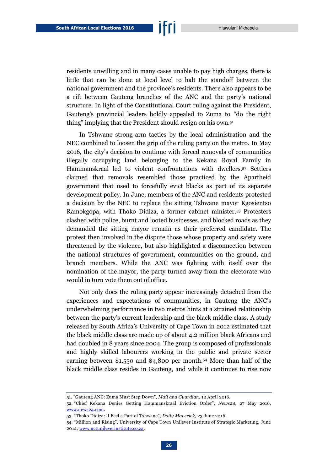residents unwilling and in many cases unable to pay high charges, there is little that can be done at local level to halt the standoff between the national government and the province's residents. There also appears to be a rift between Gauteng branches of the ANC and the party's national structure. In light of the Constitutional Court ruling against the President, Gauteng's provincial leaders boldly appealed to Zuma to "do the right thing" implying that the President should resign on his own.<sup>51</sup>

In Tshwane strong-arm tactics by the local administration and the NEC combined to loosen the grip of the ruling party on the metro. In May 2016, the city's decision to continue with forced removals of communities illegally occupying land belonging to the Kekana Royal Family in Hammanskraal led to violent confrontations with dwellers.<sup>52</sup> Settlers claimed that removals resembled those practiced by the Apartheid government that used to forcefully evict blacks as part of its separate development policy. In June, members of the ANC and residents protested a decision by the NEC to replace the sitting Tshwane mayor Kgosientso Ramokgopa, with Thoko Didiza, a former cabinet minister.<sup>53</sup> Protesters clashed with police, burnt and looted businesses, and blocked roads as they demanded the sitting mayor remain as their preferred candidate. The protest then involved in the dispute those whose property and safety were threatened by the violence, but also highlighted a disconnection between the national structures of government, communities on the ground, and branch members. While the ANC was fighting with itself over the nomination of the mayor, the party turned away from the electorate who would in turn vote them out of office.

Not only does the ruling party appear increasingly detached from the experiences and expectations of communities, in Gauteng the ANC's underwhelming performance in two metros hints at a strained relationship between the party's current leadership and the black middle class. A study released by South Africa's University of Cape Town in 2012 estimated that the black middle class are made up of about 4.2 million black Africans and had doubled in 8 years since 2004. The group is composed of professionals and highly skilled labourers working in the public and private sector earning between \$1,550 and \$4,800 per month.<sup>54</sup> More than half of the black middle class resides in Gauteng, and while it continues to rise now

<sup>51.</sup> "Gauteng ANC: Zuma Must Step Down", *Mail and Guardian*, 12 April 2016.

<sup>52.</sup> "Chief Kekana Denies Getting Hammanskraal Eviction Order", *News24*, 27 May 2016, [www.news24.com.](http://www.news24.com/SouthAfrica/News/chief-kekana-denies-getting-hammanskraal-eviction-order-20160527)

<sup>53.</sup> "Thoko Didiza: 'I Feel a Part of Tshwane", *Daily Maverick*, 23 June 2016.

<sup>54.</sup> "Million and Rising", University of Cape Town Unilever Institute of Strategic Marketing, June 2012[, www.uctunileverinstitute.co.za.](http://www.uctunileverinstitute.co.za/research/4-million-rising/)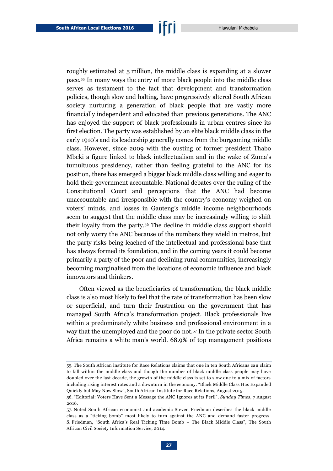roughly estimated at 5 million, the middle class is expanding at a slower pace.<sup>55</sup> In many ways the entry of more black people into the middle class serves as testament to the fact that development and transformation policies, though slow and halting, have progressively altered South African society nurturing a generation of black people that are vastly more financially independent and educated than previous generations. The ANC has enjoyed the support of black professionals in urban centres since its first election. The party was established by an elite black middle class in the early 1910's and its leadership generally comes from the burgeoning middle class. However, since 2009 with the ousting of former president Thabo Mbeki a figure linked to black intellectualism and in the wake of Zuma's tumultuous presidency, rather than feeling grateful to the ANC for its position, there has emerged a bigger black middle class willing and eager to hold their government accountable. National debates over the ruling of the Constitutional Court and perceptions that the ANC had become unaccountable and irresponsible with the country's economy weighed on voters' minds, and losses in Gauteng's middle income neighbourhoods seem to suggest that the middle class may be increasingly willing to shift their loyalty from the party.<sup>56</sup> The decline in middle class support should not only worry the ANC because of the numbers they wield in metros, but the party risks being leached of the intellectual and professional base that has always formed its foundation, and in the coming years it could become primarily a party of the poor and declining rural communities, increasingly becoming marginalised from the locations of economic influence and black innovators and thinkers.

Often viewed as the beneficiaries of transformation, the black middle class is also most likely to feel that the rate of transformation has been slow or superficial, and turn their frustration on the government that has managed South Africa's transformation project. Black professionals live within a predominately white business and professional environment in a way that the unemployed and the poor do not.<sup>57</sup> In the private sector South Africa remains a white man's world. 68.9% of top management positions

<sup>55.</sup> The South African institute for Race Relations claims that one in ten South Africans can claim to fall within the middle class and though the number of black middle class people may have doubled over the last decade, the growth of the middle class is set to slow due to a mix of factors including rising interest rates and a downturn in the economy. "Black Middle Class Has Expanded Quickly but May Now Slow", South African Institute for Race Relations, August 2015.

<sup>56.</sup> "Editorial: Voters Have Sent a Message the ANC Ignores at its Peril", *Sunday Times*, 7 August 2016.

<sup>57.</sup> Noted South African economist and academic Steven Friedman describes the black middle class as a "ticking bomb" most likely to turn against the ANC and demand faster progress. S. Friedman, "South Africa's Real Ticking Time Bomb – The Black Middle Class", The South African Civil Society Information Service, 2014.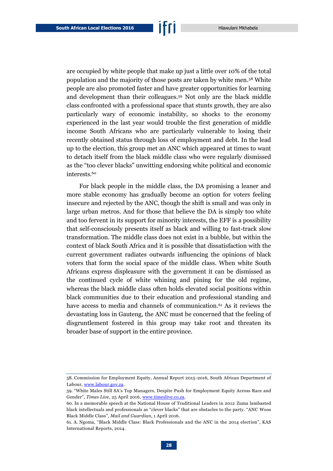are occupied by white people that make up just a little over 10% of the total population and the majority of those posts are taken by white men.<sup>58</sup> White people are also promoted faster and have greater opportunities for learning and development than their colleagues.<sup>59</sup> Not only are the black middle class confronted with a professional space that stunts growth, they are also particularly wary of economic instability, so shocks to the economy experienced in the last year would trouble the first generation of middle income South Africans who are particularly vulnerable to losing their recently obtained status through loss of employment and debt. In the lead up to the election, this group met an ANC which appeared at times to want to detach itself from the black middle class who were regularly dismissed as the "too clever blacks" unwitting endorsing white political and economic interests.<sup>60</sup>

For black people in the middle class, the DA promising a leaner and more stable economy has gradually become an option for voters feeling insecure and rejected by the ANC, though the shift is small and was only in large urban metros. And for those that believe the DA is simply too white and too fervent in its support for minority interests, the EFF is a possibility that self-consciously presents itself as black and willing to fast-track slow transformation. The middle class does not exist in a bubble, but within the context of black South Africa and it is possible that dissatisfaction with the current government radiates outwards influencing the opinions of black voters that form the social space of the middle class. When white South Africans express displeasure with the government it can be dismissed as the continued cycle of white whining and pining for the old regime, whereas the black middle class often holds elevated social positions within black communities due to their education and professional standing and have access to media and channels of communication.<sup>61</sup> As it reviews the devastating loss in Gauteng, the ANC must be concerned that the feeling of disgruntlement fostered in this group may take root and threaten its broader base of support in the entire province.

<sup>58.</sup> Commission for Employment Equity, Annual Report 2015-2016, South African Department of Labour, [www.labour.gov.za.](http://www.labour.gov.za/DOL/downloads/documents/annual-reports/employment-equity/2015-2016/16th%20CEE%20Report.pdf)

<sup>59.</sup> "White Males Still SA's Top Managers' Despite Push for Employment Equity Across Race and Gender", *Times Live*, 25 April 2016[, www.timeslive.co.za.](http://www.timeslive.co.za/local/2016/04/25/White-males-still-SAs-top-managers%E2%80%9A-despite-push-for-employment-equity-across-race-and-gender)

<sup>60.</sup> In a memorable speech at the National House of Traditional Leaders in 2012 Zuma lambasted black intellectuals and professionals as "clever blacks" that are obstacles to the party. "ANC Woos Black Middle Class", *Mail and Guardian*, 1 April 2016.

<sup>61.</sup> A. Ngoma, "Black Middle Class: Black Professionals and the ANC in the 2014 election", KAS International Reports, 2014.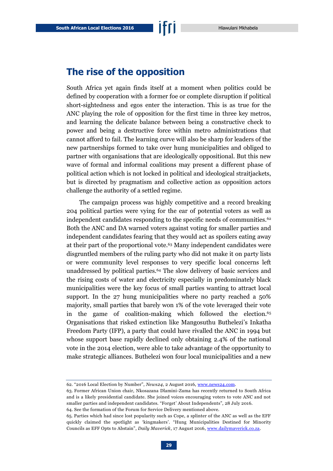### <span id="page-30-0"></span>**The rise of the opposition**

South Africa yet again finds itself at a moment when politics could be defined by cooperation with a former foe or complete disruption if political short-sightedness and egos enter the interaction. This is as true for the ANC playing the role of opposition for the first time in three key metros, and learning the delicate balance between being a constructive check to power and being a destructive force within metro administrations that cannot afford to fail. The learning curve will also be sharp for leaders of the new partnerships formed to take over hung municipalities and obliged to partner with organisations that are ideologically oppositional. But this new wave of formal and informal coalitions may present a different phase of political action which is not locked in political and ideological straitjackets, but is directed by pragmatism and collective action as opposition actors challenge the authority of a settled regime.

The campaign process was highly competitive and a record breaking 204 political parties were vying for the ear of potential voters as well as independent candidates responding to the specific needs of communities.<sup>62</sup> Both the ANC and DA warned voters against voting for smaller parties and independent candidates fearing that they would act as spoilers eating away at their part of the proportional vote.<sup>63</sup> Many independent candidates were disgruntled members of the ruling party who did not make it on party lists or were community level responses to very specific local concerns left unaddressed by political parties.<sup>64</sup> The slow delivery of basic services and the rising costs of water and electricity especially in predominately black municipalities were the key focus of small parties wanting to attract local support. In the 27 hung municipalities where no party reached a 50% majority, small parties that barely won 1% of the vote leveraged their vote in the game of coalition-making which followed the election.<sup>65</sup> Organisations that risked extinction like Mangosuthu Buthelezi's Inkatha Freedom Party (IFP), a party that could have rivalled the ANC in 1994 but whose support base rapidly declined only obtaining 2.4% of the national vote in the 2014 election, were able to take advantage of the opportunity to make strategic alliances. Buthelezi won four local municipalities and a new

<sup>62.</sup> "2016 Local Election by Number", *News24*, 2 August 2016, [www.news24.com.](http://www.news24.com/elections/news/2016-local-government-elections-by-the-numbers-20160802)

<sup>63.</sup> Former African Union chair, Nkosazana Dlamini-Zuma has recently returned to South Africa and is a likely presidential candidate. She joined voices encouraging voters to vote ANC and not smaller parties and independent candidates. "Forget' About Independents", 28 July 2016. 64. See the formation of the Forum for Service Delivery mentioned above.

<sup>65.</sup> Parties which had since lost popularity such as Cope, a splinter of the ANC as well as the EFF quickly claimed the spotlight as 'kingmakers'. "Hung Municipalities Destined for Minority Councils as EFF Opts to Abstain", *Daily Maverick*, 17 August 2016[, www.dailymaverick.co.za.](http://www.dailymaverick.co.za/article/2016-08-17-lge2016-hung-municipalities-destined-for-minority-councils-as-eff-opts-to-abstain/)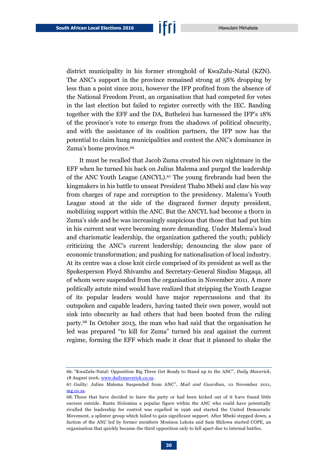district municipality in his former stronghold of KwaZulu-Natal (KZN). The ANC's support in the province remained strong at 58% dropping by less than a point since 2011, however the IFP profited from the absence of the National Freedom Front, an organisation that had competed for votes in the last election but failed to register correctly with the IEC. Banding together with the EFF and the DA, Buthelezi has harnessed the IFP's 18% of the province's vote to emerge from the shadows of political obscurity, and with the assistance of its coalition partners, the IFP now has the potential to claim hung municipalities and contest the ANC's dominance in Zuma's home province.<sup>66</sup>

It must be recalled that Jacob Zuma created his own nightmare in the EFF when he turned his back on Julius Malema and purged the leadership of the ANC Youth League (ANCYL).<sup>67</sup> The young firebrands had been the kingmakers in his battle to unseat President Thabo Mbeki and claw his way from charges of rape and corruption to the presidency. Malema's Youth League stood at the side of the disgraced former deputy president, mobilizing support within the ANC. But the ANCYL had become a thorn in Zuma's side and he was increasingly suspicious that those that had put him in his current seat were becoming more demanding. Under Malema's loud and charismatic leadership, the organization gathered the youth; publicly criticizing the ANC's current leadership; denouncing the slow pace of economic transformation; and pushing for nationalisation of local industry. At its centre was a close knit circle comprised of its president as well as the Spokesperson Floyd Shivambu and Secretary-General Sindiso Magaqa, all of whom were suspended from the organisation in November 2011. A more politically astute mind would have realized that stripping the Youth League of its popular leaders would have major repercussions and that its outspoken and capable leaders, having tasted their own power, would not sink into obscurity as had others that had been booted from the ruling party.<sup>68</sup> In October 2013, the man who had said that the organisation he led was prepared "to kill for Zuma" turned his zeal against the current regime, forming the EFF which made it clear that it planned to shake the

<sup>66.</sup> "KwaZulu-Natal: Opposition Big Three Get Ready to Stand up to the ANC", *Daily Maverick*, 18 August 2016[, www.dailymaverick.co.za.](http://www.dailymaverick.co.za/article/2016-08-18-kwazulu-natal-opposition-big-three-get-ready-to-stand-up-to-the-anc/)

<sup>67.</sup> Guilty: Julius Malema Suspended from ANC", *Mail and Guardian*, 10 November 2011, [mg.co.za.](http://mg.co.za/article/2011-11-10-guilty-julius-malema-suspended-from-anc/)

<sup>68.</sup> Those that have decided to leave the party or had been kicked out of it have found little success outside. Bantu Holomisa a popular figure within the ANC who could have potentially rivalled the leadership for control was expelled in 1996 and started the United Democratic Movement, a splinter group which failed to gain significant support. After Mbeki stepped down, a faction of the ANC led by former members Mosiuoa Lekota and Sam Shilowa started COPE, an organisation that quickly became the third opposition only to fall apart due to internal battles.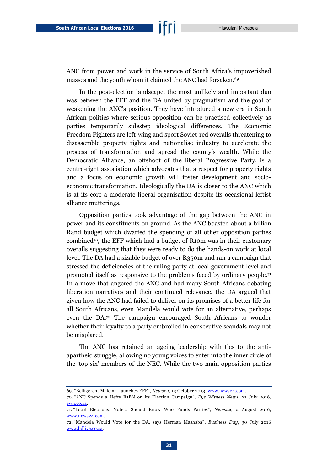ANC from power and work in the service of South Africa's impoverished masses and the youth whom it claimed the ANC had forsaken.<sup>69</sup>

In the post-election landscape, the most unlikely and important duo was between the EFF and the DA united by pragmatism and the goal of weakening the ANC's position. They have introduced a new era in South African politics where serious opposition can be practised collectively as parties temporarily sidestep ideological differences. The Economic Freedom Fighters are left-wing and sport Soviet-red overalls threatening to disassemble property rights and nationalise industry to accelerate the process of transformation and spread the county's wealth. While the Democratic Alliance, an offshoot of the liberal Progressive Party, is a centre-right association which advocates that a respect for property rights and a focus on economic growth will foster development and socioeconomic transformation. Ideologically the DA is closer to the ANC which is at its core a moderate liberal organisation despite its occasional leftist alliance mutterings.

Opposition parties took advantage of the gap between the ANC in power and its constituents on ground. As the ANC boasted about a billion Rand budget which dwarfed the spending of all other opposition parties combined70, the EFF which had a budget of R10m was in their customary overalls suggesting that they were ready to do the hands-on work at local level. The DA had a sizable budget of over R350m and ran a campaign that stressed the deficiencies of the ruling party at local government level and promoted itself as responsive to the problems faced by ordinary people.<sup>71</sup> In a move that angered the ANC and had many South Africans debating liberation narratives and their continued relevance, the DA argued that given how the ANC had failed to deliver on its promises of a better life for all South Africans, even Mandela would vote for an alternative, perhaps even the DA.<sup>72</sup> The campaign encouraged South Africans to wonder whether their loyalty to a party embroiled in consecutive scandals may not be misplaced.

The ANC has retained an ageing leadership with ties to the antiapartheid struggle, allowing no young voices to enter into the inner circle of the 'top six' members of the NEC. While the two main opposition parties

<sup>69.</sup> "Belligerent Malema Launches EFF", *News24*, 13 October 2013[, www.news24.com.](http://www.news24.com/SouthAfrica/Politics/A-giant-is-born-Malema-20131013)

<sup>70.</sup> "ANC Spends a Hefty R1BN on its Election Campaign", *Eye Witness News*, 21 July 2016, [ewn.co.za.](http://ewn.co.za/2016/07/21/ANC-spends-a-hefty-R1-bln-on-election-campaign)

<sup>71.</sup> "Local Elections: Voters Should Know Who Funds Parties", *News24*, 2 August 2016, [www.news24.com.](http://www.news24.com/Columnists/GuestColumn/local-elections-voters-should-know-who-funds-parties-20160802)

<sup>72.</sup> "Mandela Would Vote for the DA, says Herman Mashaba", *Business Day*, 30 July 2016 [www.bdlive.co.za.](http://www.bdlive.co.za/national/2016/07/30/mandela-would-vote-for-the-da-says-herman-mashaba)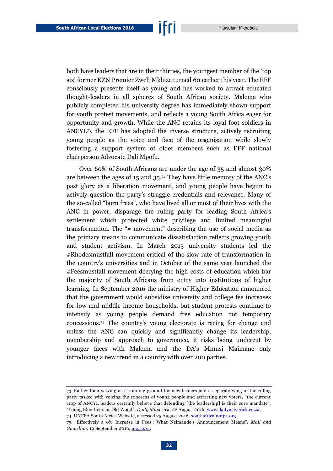both have leaders that are in their thirties, the youngest member of the 'top six' former KZN Premier Zweli Mkhize turned 60 earlier this year. The EFF consciously presents itself as young and has worked to attract educated thought-leaders in all spheres of South African society. Malema who publicly completed his university degree has immediately shown support for youth protest movements, and reflects a young South Africa eager for opportunity and growth. While the ANC retains its loyal foot soldiers in ANCYL<sup>73</sup> , the EFF has adopted the inverse structure, actively recruiting young people as the voice and face of the organisation while slowly fostering a support system of older members such as EFF national chairperson Advocate Dali Mpofu.

Over 60% of South Africans are under the age of 35 and almost 30% are between the ages of 15 and 35.<sup>74</sup> They have little memory of the ANC's past glory as a liberation movement, and young people have begun to actively question the party's struggle credentials and relevance. Many of the so-called "born frees", who have lived all or most of their lives with the ANC in power, disparage the ruling party for leading South Africa's settlement which protected white privilege and limited meaningful transformation. The "# movement" describing the use of social media as the primary means to communicate dissatisfaction reflects growing youth and student activism. In March 2015 university students led the #Rhodesmustfall movement critical of the slow rate of transformation in the country's universities and in October of the same year launched the #Feesmustfall movement decrying the high costs of education which bar the majority of South Africans from entry into institutions of higher learning. In September 2016 the ministry of Higher Education announced that the government would subsidise university and college fee increases for low and middle income households, but student protests continue to intensify as young people demand free education not temporary concessions.<sup>75</sup> The country's young electorate is raring for change and unless the ANC can quickly and significantly change its leadership, membership and approach to governance, it risks being undercut by younger faces with Malema and the DA's Mmusi Maimane only introducing a new trend in a country with over 200 parties.

74. UNFPA South Africa Website, accessed 25 August 2016, [southafrica.unfpa.org.](http://southafrica.unfpa.org/topics/young-people-1)

<sup>73.</sup> Rather than serving as a training ground for new leaders and a separate wing of the ruling party tasked with voicing the concerns of young people and attracting new voters, "the current crop of ANCYL leaders certainly believe that defending [the leadership] is their core mandate". "Young Blood Versus Old Wood", *Daily Maverick*, 22 August 2016, [www.dailymaverick.co.za.](http://www.dailymaverick.co.za/article/2016-08-22-young-blood-vs-dead-wood-where-are-the-ancs-maimanes-and-malemas/#.V-6cvGXZjVp)

<sup>75.</sup> "'Effectively a 0% Increase in Fees': What Nzimande's Announcement Means", *Mail and Guardian*, 19 September 2016[, mg.co.za.](http://mg.co.za/article/2016-09-19-effectively-a-0-increase-in-fees-what-nzimandes-announcement-means)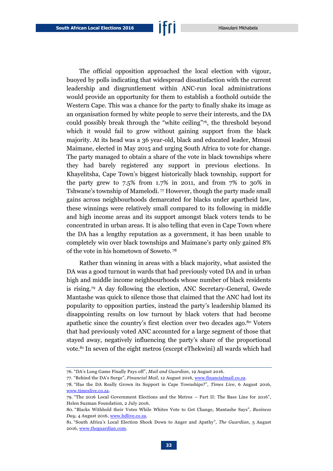The official opposition approached the local election with vigour, buoyed by polls indicating that widespread dissatisfaction with the current leadership and disgruntlement within ANC-run local administrations would provide an opportunity for them to establish a foothold outside the Western Cape. This was a chance for the party to finally shake its image as an organisation formed by white people to serve their interests, and the DA could possibly break through the "white ceiling"<sup>76</sup> , the threshold beyond which it would fail to grow without gaining support from the black majority. At its head was a 36 year-old, black and educated leader, Mmusi Maimane, elected in May 2015 and urging South Africa to vote for change. The party managed to obtain a share of the vote in black townships where they had barely registered any support in previous elections. In Khayelitsha, Cape Town's biggest historically black township, support for the party grew to  $7.5\%$  from 1.7% in 2011, and from 7% to 30% in Tshwane's township of Mamelodi. <sup>77</sup> However, though the party made small gains across neighbourhoods demarcated for blacks under apartheid law, these winnings were relatively small compared to its following in middle and high income areas and its support amongst black voters tends to be concentrated in urban areas. It is also telling that even in Cape Town where the DA has a lengthy reputation as a government, it has been unable to completely win over black townships and Maimane's party only gained 8% of the vote in his hometown of Soweto. <sup>78</sup>

Rather than winning in areas with a black majority, what assisted the DA was a good turnout in wards that had previously voted DA and in urban high and middle income neighbourhoods whose number of black residents is rising.<sup>79</sup> A day following the election, ANC Secretary-General, Gwede Mantashe was quick to silence those that claimed that the ANC had lost its popularity to opposition parties, instead the party's leadership blamed its disappointing results on low turnout by black voters that had become apathetic since the country's first election over two decades ago.<sup>80</sup> Voters that had previously voted ANC accounted for a large segment of those that stayed away, negatively influencing the party's share of the proportional vote.<sup>81</sup> In seven of the eight metros (except eThekwini) all wards which had

<sup>76.</sup> "DA's Long Game Finally Pays off", *Mail and Guardian*, 19 August 2016.

<sup>77.</sup> "Behind the DA's Surge", *Financial Mail*, 12 August 2016, [www.financialmail.co.za.](http://www.financialmail.co.za/coverstory/2016/08/12/behind-the-da-s-surge)

<sup>78.</sup> "Has the DA Really Grown its Support in Cape Townships?", *Times Live*, 6 August 2016, [www.timeslive.co.za.](http://www.timeslive.co.za/elections/2016/08/06/Has-the-DA-really-grown-its-support-in-Cape-townships)

<sup>79.</sup> "The 2016 Local Government Elections and the Metros – Part II: The Base Line for 2016", Helen Suzman Foundation, 2 July 2016.

<sup>80.</sup> "Blacks Withhold their Votes While Whites Vote to Get Change, Mantashe Says", *Business Day*, 4 August 2016, [www.bdlive.co.za.](http://www.bdlive.co.za/national/2016/08/04/blacks-withhold-their-votes-while-whites-vote-to-get-change-mantashe-says)

<sup>81.</sup> "South Africa's Local Election Shock Down to Anger and Apathy", *The Guardian*, 5 August 2016[, www.theguardian.com.](https://www.theguardian.com/world/2016/aug/05/anger-and-apathy-behind-south-africas-shock-local-election)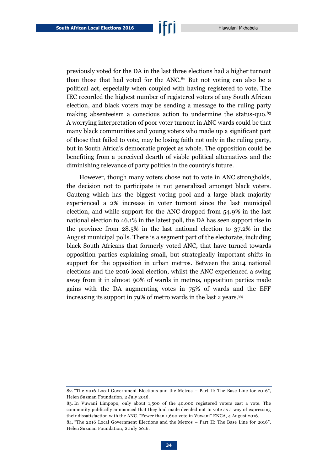previously voted for the DA in the last three elections had a higher turnout than those that had voted for the ANC.<sup>82</sup> But not voting can also be a political act, especially when coupled with having registered to vote. The IEC recorded the highest number of registered voters of any South African election, and black voters may be sending a message to the ruling party making absenteeism a conscious action to undermine the status-quo.<sup>83</sup> A worrying interpretation of poor voter turnout in ANC wards could be that many black communities and young voters who made up a significant part of those that failed to vote, may be losing faith not only in the ruling party, but in South Africa's democratic project as whole. The opposition could be

benefiting from a perceived dearth of viable political alternatives and the

diminishing relevance of party politics in the country's future.

However, though many voters chose not to vote in ANC strongholds, the decision not to participate is not generalized amongst black voters. Gauteng which has the biggest voting pool and a large black majority experienced a 2% increase in voter turnout since the last municipal election, and while support for the ANC dropped from 54.9% in the last national election to 46.1% in the latest poll, the DA has seen support rise in the province from 28.5% in the last national election to 37.2% in the August municipal polls. There is a segment part of the electorate, including black South Africans that formerly voted ANC, that have turned towards opposition parties explaining small, but strategically important shifts in support for the opposition in urban metros. Between the 2014 national elections and the 2016 local election, whilst the ANC experienced a swing away from it in almost 90% of wards in metros, opposition parties made gains with the DA augmenting votes in 75% of wards and the EFF increasing its support in 79% of metro wards in the last 2 years.<sup>84</sup>

<sup>82.</sup> "The 2016 Local Government Elections and the Metros – Part II: The Base Line for 2016", Helen Suzman Foundation, 2 July 2016.

<sup>83.</sup> In Vuwani Limpopo, only about 1,500 of the 40,000 registered voters cast a vote. The community publically announced that they had made decided not to vote as a way of expressing their dissatisfaction with the ANC. "Fewer than 1,600 vote in Vuwani" ENCA, 4 August 2016.

<sup>84.</sup> "The 2016 Local Government Elections and the Metros – Part II: The Base Line for 2016", Helen Suzman Foundation, 2 July 2016.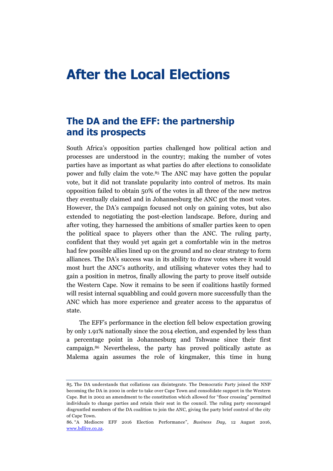## <span id="page-36-0"></span>**After the Local Elections**

## <span id="page-36-1"></span>**The DA and the EFF: the partnership and its prospects**

South Africa's opposition parties challenged how political action and processes are understood in the country; making the number of votes parties have as important as what parties do after elections to consolidate power and fully claim the vote.<sup>85</sup> The ANC may have gotten the popular vote, but it did not translate popularity into control of metros. Its main opposition failed to obtain 50% of the votes in all three of the new metros they eventually claimed and in Johannesburg the ANC got the most votes. However, the DA's campaign focused not only on gaining votes, but also extended to negotiating the post-election landscape. Before, during and after voting, they harnessed the ambitions of smaller parties keen to open the political space to players other than the ANC. The ruling party, confident that they would yet again get a comfortable win in the metros had few possible allies lined up on the ground and no clear strategy to form alliances. The DA's success was in its ability to draw votes where it would most hurt the ANC's authority, and utilising whatever votes they had to gain a position in metros, finally allowing the party to prove itself outside the Western Cape. Now it remains to be seen if coalitions hastily formed will resist internal squabbling and could govern more successfully than the ANC which has more experience and greater access to the apparatus of state.

The EFF's performance in the election fell below expectation growing by only 1.91% nationally since the 2014 election, and expended by less than a percentage point in Johannesburg and Tshwane since their first campaign.<sup>86</sup> Nevertheless, the party has proved politically astute as Malema again assumes the role of kingmaker, this time in hung

<sup>85.</sup> The DA understands that collations can disintegrate. The Democratic Party joined the NNP becoming the DA in 2000 in order to take over Cape Town and consolidate support in the Western Cape. But in 2002 an amendment to the constitution which allowed for "floor crossing" permitted individuals to change parties and retain their seat in the council. The ruling party encouraged disgruntled members of the DA coalition to join the ANC, giving the party brief control of the city of Cape Town.

<sup>86.</sup> "A Mediocre EFF 2016 Election Performance", *Business Day*, 12 August 2016, [www.bdlive.co.za.](http://www.bdlive.co.za/opinion/columnists/2016/08/17/a-mediocre-eff-2016-election-performance)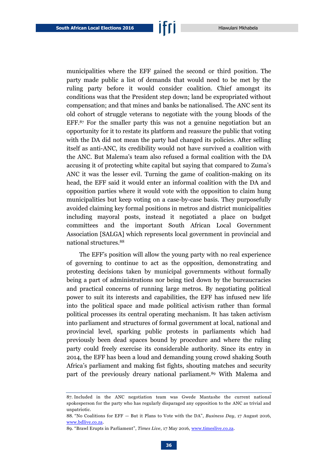municipalities where the EFF gained the second or third position. The party made public a list of demands that would need to be met by the ruling party before it would consider coalition. Chief amongst its conditions was that the President step down; land be expropriated without compensation; and that mines and banks be nationalised. The ANC sent its old cohort of struggle veterans to negotiate with the young bloods of the EFF.<sup>87</sup> For the smaller party this was not a genuine negotiation but an opportunity for it to restate its platform and reassure the public that voting with the DA did not mean the party had changed its policies. After selling itself as anti-ANC, its credibility would not have survived a coalition with the ANC. But Malema's team also refused a formal coalition with the DA accusing it of protecting white capital but saying that compared to Zuma's ANC it was the lesser evil. Turning the game of coalition-making on its head, the EFF said it would enter an informal coalition with the DA and opposition parties where it would vote with the opposition to claim hung municipalities but keep voting on a case-by-case basis. They purposefully avoided claiming key formal positions in metros and district municipalities including mayoral posts, instead it negotiated a place on budget committees and the important South African Local Government Association [SALGA] which represents local government in provincial and national structures.<sup>88</sup>

The EFF's position will allow the young party with no real experience of governing to continue to act as the opposition, demonstrating and protesting decisions taken by municipal governments without formally being a part of administrations nor being tied down by the bureaucracies and practical concerns of running large metros. By negotiating political power to suit its interests and capabilities, the EFF has infused new life into the political space and made political activism rather than formal political processes its central operating mechanism. It has taken activism into parliament and structures of formal government at local, national and provincial level, sparking public protests in parliaments which had previously been dead spaces bound by procedure and where the ruling party could freely exercise its considerable authority. Since its entry in 2014, the EFF has been a loud and demanding young crowd shaking South Africa's parliament and making fist fights, shouting matches and security part of the previously dreary national parliament.<sup>89</sup> With Malema and

<sup>87.</sup> Included in the ANC negotiation team was Gwede Mantashe the current national spokesperson for the party who has regularly disparaged any opposition to the ANC as trivial and unpatriotic.

<sup>88.</sup> "No Coalitions for EFF — But it Plans to Vote with the DA", *Business Day*, 17 August 2016, [www.bdlive.co.za.](http://www.bdlive.co.za/national/politics/2016/08/17/no-coalitions-for-eff--but-it-plans-to-vote-with-the-da)

<sup>89.</sup> "Brawl Erupts in Parliament", *Times Live*, 17 May 2016, [www.timeslive.co.za.](http://www.timeslive.co.za/politics/2016/05/17/Brawl-erupts-in-Parliament-as-EFF-MPs-are-evicted)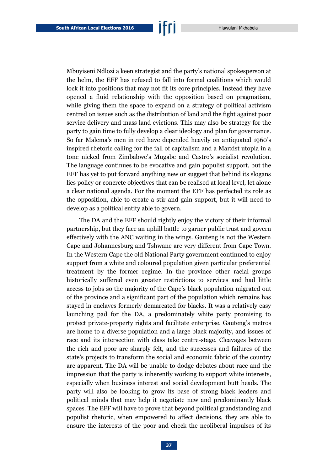Mbuyiseni Ndlozi a keen strategist and the party's national spokesperson at the helm, the EFF has refused to fall into formal coalitions which would lock it into positions that may not fit its core principles. Instead they have opened a fluid relationship with the opposition based on pragmatism, while giving them the space to expand on a strategy of political activism centred on issues such as the distribution of land and the fight against poor service delivery and mass land evictions. This may also be strategy for the party to gain time to fully develop a clear ideology and plan for governance. So far Malema's men in red have depended heavily on antiquated 1960's inspired rhetoric calling for the fall of capitalism and a Marxist utopia in a tone nicked from Zimbabwe's Mugabe and Castro's socialist revolution. The language continues to be evocative and gain populist support, but the EFF has yet to put forward anything new or suggest that behind its slogans lies policy or concrete objectives that can be realised at local level, let alone a clear national agenda. For the moment the EFF has perfected its role as the opposition, able to create a stir and gain support, but it will need to develop as a political entity able to govern.

The DA and the EFF should rightly enjoy the victory of their informal partnership, but they face an uphill battle to garner public trust and govern effectively with the ANC waiting in the wings. Gauteng is not the Western Cape and Johannesburg and Tshwane are very different from Cape Town. In the Western Cape the old National Party government continued to enjoy support from a white and coloured population given particular preferential treatment by the former regime. In the province other racial groups historically suffered even greater restrictions to services and had little access to jobs so the majority of the Cape's black population migrated out of the province and a significant part of the population which remains has stayed in enclaves formerly demarcated for blacks. It was a relatively easy launching pad for the DA, a predominately white party promising to protect private-property rights and facilitate enterprise. Gauteng's metros are home to a diverse population and a large black majority, and issues of race and its intersection with class take centre-stage. Cleavages between the rich and poor are sharply felt, and the successes and failures of the state's projects to transform the social and economic fabric of the country are apparent. The DA will be unable to dodge debates about race and the impression that the party is inherently working to support white interests, especially when business interest and social development butt heads. The party will also be looking to grow its base of strong black leaders and political minds that may help it negotiate new and predominantly black spaces. The EFF will have to prove that beyond political grandstanding and populist rhetoric, when empowered to affect decisions, they are able to ensure the interests of the poor and check the neoliberal impulses of its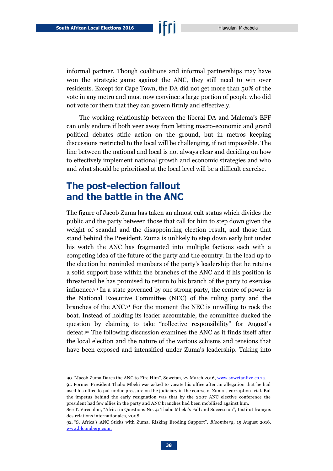informal partner. Though coalitions and informal partnerships may have won the strategic game against the ANC, they still need to win over residents. Except for Cape Town, the DA did not get more than 50% of the vote in any metro and must now convince a large portion of people who did not vote for them that they can govern firmly and effectively.

The working relationship between the liberal DA and Malema's EFF can only endure if both veer away from letting macro-economic and grand political debates stifle action on the ground, but in metros keeping discussions restricted to the local will be challenging, if not impossible. The line between the national and local is not always clear and deciding on how to effectively implement national growth and economic strategies and who and what should be prioritised at the local level will be a difficult exercise.

## <span id="page-39-0"></span>**The post-election fallout and the battle in the ANC**

The figure of Jacob Zuma has taken an almost cult status which divides the public and the party between those that call for him to step down given the weight of scandal and the disappointing election result, and those that stand behind the President. Zuma is unlikely to step down early but under his watch the ANC has fragmented into multiple factions each with a competing idea of the future of the party and the country. In the lead up to the election he reminded members of the party's leadership that he retains a solid support base within the branches of the ANC and if his position is threatened he has promised to return to his branch of the party to exercise influence.<sup>90</sup> In a state governed by one strong party, the centre of power is the National Executive Committee (NEC) of the ruling party and the branches of the ANC.<sup>91</sup> For the moment the NEC is unwilling to rock the boat. Instead of holding its leader accountable, the committee ducked the question by claiming to take "collective responsibility" for August's defeat.<sup>92</sup> The following discussion examines the ANC as it finds itself after the local election and the nature of the various schisms and tensions that have been exposed and intensified under Zuma's leadership. Taking into

<sup>90.</sup> "Jacob Zuma Dares the ANC to Fire Him", Sowetan, 22 March 2016[, www.sowetanlive.co.za.](http://www.sowetanlive.co.za/news/2016/03/22/jacob-zuma-dares-the-anc-to-fire-him)

<sup>91.</sup> Former President Thabo Mbeki was asked to vacate his office after an allegation that he had used his office to put undue pressure on the judiciary in the course of Zuma's corruption trial. But the impetus behind the early resignation was that by the 2007 ANC elective conference the president had few allies in the party and ANC branches had been mobilised against him.

See T. Vircoulon, "Africa in Questions No. 4: Thabo Mbeki's Fall and Succession", Institut français des relations internationales, 2008.

<sup>92.</sup> "S. Africa's ANC Sticks with Zuma, Risking Eroding Support", *Bloomberg*, 15 August 2016, [www.bloomberg.com.](http://www.bloomberg.com/news/articles/2016-08-15/south-africa-s-anc-sticks-with-zuma-risking-declining-support)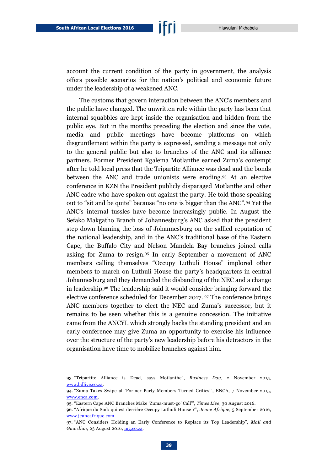account the current condition of the party in government, the analysis offers possible scenarios for the nation's political and economic future under the leadership of a weakened ANC.

The customs that govern interaction between the ANC's members and the public have changed. The unwritten rule within the party has been that internal squabbles are kept inside the organisation and hidden from the public eye. But in the months preceding the election and since the vote, media and public meetings have become platforms on which disgruntlement within the party is expressed, sending a message not only to the general public but also to branches of the ANC and its alliance partners. Former President Kgalema Motlanthe earned Zuma's contempt after he told local press that the Tripartite Alliance was dead and the bonds between the ANC and trade unionists were eroding.<sup>93</sup> At an elective conference in KZN the President publicly disparaged Motlanthe and other ANC cadre who have spoken out against the party. He told those speaking out to "sit and be quite" because "no one is bigger than the ANC".<sup>94</sup> Yet the ANC's internal tussles have become increasingly public. In August the Sefako Makgatho Branch of Johannesburg's ANC asked that the president step down blaming the loss of Johannesburg on the sallied reputation of the national leadership, and in the ANC's traditional base of the Eastern Cape, the Buffalo City and Nelson Mandela Bay branches joined calls asking for Zuma to resign.<sup>95</sup> In early September a movement of ANC members calling themselves "Occupy Luthuli House" implored other members to march on Luthuli House the party's headquarters in central Johannesburg and they demanded the disbanding of the NEC and a change in leadership.<sup>96</sup> The leadership said it would consider bringing forward the elective conference scheduled for December 2017. <sup>97</sup> The conference brings ANC members together to elect the NEC and Zuma's successor, but it remains to be seen whether this is a genuine concession. The initiative came from the ANCYL which strongly backs the standing president and an early conference may give Zuma an opportunity to exercise his influence over the structure of the party's new leadership before his detractors in the organisation have time to mobilize branches against him.

<sup>93.</sup> "Tripartite Alliance is Dead, says Motlanthe", *Business Day*, 2 November 2015, [www.bdlive.co.za.](http://www.bdlive.co.za/national/2015/11/02/tripartite-alliance-is-dead-says-motlanthe)

<sup>94.</sup> "Zuma Takes Swipe at 'Former Party Members Turned Critics'", ENCA, 7 November 2015, [www.enca.com.](http://www.enca.com/media/video/zuma-takes-swipe-former-party-members-turned-critics%E2%80%99)

<sup>95.</sup> "Eastern Cape ANC Branches Make 'Zuma-must-go' Call'", *Times Live*, 30 August 2016.

<sup>96.</sup> "Afrique du Sud: qui est derrière Occupy Luthuli House ?", *Jeune Afrique*, 5 September 2016, [www.jeuneafrique.com.](http://www.jeuneafrique.com/354851/politique/afrique-sud-derriere-occupy-luthuli-house/)

<sup>97.</sup> "ANC Considers Holding an Early Conference to Replace its Top Leadership", *Mail and Guardian*, 23 August 2016, [mg.co.za.](http://mg.co.za/article/2016-08-23-anc-considering-holding-an-early-conference-to-replace-its-top-leadership)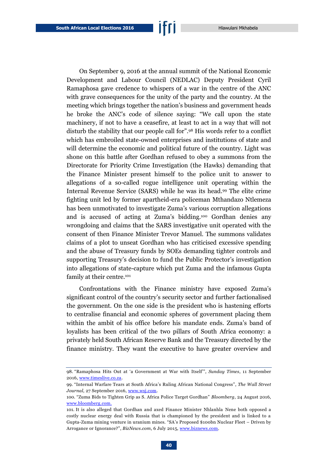On September 9, 2016 at the annual summit of the National Economic Development and Labour Council (NEDLAC) Deputy President Cyril Ramaphosa gave credence to whispers of a war in the centre of the ANC with grave consequences for the unity of the party and the country. At the meeting which brings together the nation's business and government heads he broke the ANC's code of silence saying: "We call upon the state machinery, if not to have a ceasefire, at least to act in a way that will not disturb the stability that our people call for".<sup>98</sup> His words refer to a conflict which has embroiled state-owned enterprises and institutions of state and will determine the economic and political future of the country. Light was shone on this battle after Gordhan refused to obey a summons from the Directorate for Priority Crime Investigation (the Hawks) demanding that the Finance Minister present himself to the police unit to answer to allegations of a so-called rogue intelligence unit operating within the Internal Revenue Service (SARS) while he was its head.<sup>99</sup> The elite crime fighting unit led by former apartheid-era policeman Mthandazo Ntlemeza has been unmotivated to investigate Zuma's various corruption allegations and is accused of acting at Zuma's bidding.<sup>100</sup> Gordhan denies any wrongdoing and claims that the SARS investigative unit operated with the consent of then Finance Minister Trevor Manuel. The summons validates claims of a plot to unseat Gordhan who has criticised excessive spending and the abuse of Treasury funds by SOEs demanding tighter controls and supporting Treasury's decision to fund the Public Protector's investigation into allegations of state-capture which put Zuma and the infamous Gupta family at their centre.<sup>101</sup>

Confrontations with the Finance ministry have exposed Zuma's significant control of the country's security sector and further factionalised the government. On the one side is the president who is hastening efforts to centralise financial and economic spheres of government placing them within the ambit of his office before his mandate ends. Zuma's band of loyalists has been critical of the two pillars of South Africa economy: a privately held South African Reserve Bank and the Treasury directed by the finance ministry. They want the executive to have greater overview and

<sup>98.</sup> "Ramaphosa Hits Out at 'a Government at War with Itself'", *Sunday Times*, 11 September 2016, [www.timeslive.co.za.](http://www.timeslive.co.za/sundaytimes/businesstimes/2016/09/11/Ramaphosa-hits-out-at-%E2%80%98a-government-at-war-with-itself%E2%80%99)

<sup>99.</sup> "Internal Warfare Tears at South Africa's Ruling African National Congress", *The Wall Street Journal*, 27 September 2016, [www.wsj.com.](http://www.wsj.com/articles/internal-warfare-tears-at-south-africas-ruling-african-national-congress-1475013829)

<sup>100.</sup> "Zuma Bids to Tighten Grip as S. Africa Police Target Gordhan" *Bloomberg*, 24 August 2016, [www.bloomberg.com.](http://www.bloomberg.com/news/articles/2016-08-24/zuma-bids-to-tighten-grip-as-south-africa-police-target-gordhan)

<sup>101.</sup> It is also alleged that Gordhan and axed Finance Minister Nhlanhla Nene both opposed a costly nuclear energy deal with Russia that is championed by the president and is linked to a Gupta-Zuma mining venture in uranium mines. "SA's Proposed \$100bn Nuclear Fleet – Driven by Arrogance or Ignorance?", *BizNews.com*, 6 July 2015[, www.biznews.com.](http://www.biznews.com/leadership/2015/07/06/unpacking-sas-nuclear-proposal-little-wonder-voters-are-suspicious/)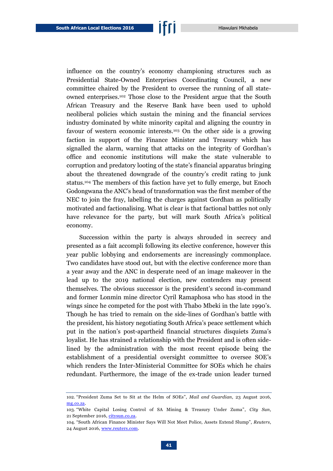influence on the country's economy championing structures such as Presidential State-Owned Enterprises Coordinating Council, a new committee chaired by the President to oversee the running of all stateowned enterprises. <sup>102</sup> Those close to the President argue that the South African Treasury and the Reserve Bank have been used to uphold neoliberal policies which sustain the mining and the financial services industry dominated by white minority capital and aligning the country in favour of western economic interests.<sup>103</sup> On the other side is a growing faction in support of the Finance Minister and Treasury which has signalled the alarm, warning that attacks on the integrity of Gordhan's office and economic institutions will make the state vulnerable to corruption and predatory looting of the state's financial apparatus bringing about the threatened downgrade of the country's credit rating to junk status.<sup>104</sup> The members of this faction have yet to fully emerge, but Enoch Godongwana the ANC's head of transformation was the first member of the NEC to join the fray, labelling the charges against Gordhan as politically motivated and factionalising. What is clear is that factional battles not only have relevance for the party, but will mark South Africa's political economy.

Succession within the party is always shrouded in secrecy and presented as a fait accompli following its elective conference, however this year public lobbying and endorsements are increasingly commonplace. Two candidates have stood out, but with the elective conference more than a year away and the ANC in desperate need of an image makeover in the lead up to the 2019 national election, new contenders may present themselves. The obvious successor is the president's second in-command and former Lonmin mine director Cyril Ramaphosa who has stood in the wings since he competed for the post with Thabo Mbeki in the late 1990's. Though he has tried to remain on the side-lines of Gordhan's battle with the president, his history negotiating South Africa's peace settlement which put in the nation's post-apartheid financial structures disquiets Zuma's loyalist. He has strained a relationship with the President and is often sidelined by the administration with the most recent episode being the establishment of a presidential oversight committee to oversee SOE's which renders the Inter-Ministerial Committee for SOEs which he chairs redundant. Furthermore, the image of the ex-trade union leader turned

<sup>102.</sup> "President Zuma Set to Sit at the Helm of SOEs", *Mail and Guardian*, 23 August 2016, [mg.co.za.](http://mg.co.za/article/2016-08-23-president-zuma-set-to-sit-at-the-helm-of-south-africas-state-owned-enterprises)

<sup>103.</sup> "White Capital Losing Control of SA Mining & Treasury Under Zuma", *City Sun*, 21 September 2016, [citysun.co.za.](http://citysun.co.za/white-capital-losing-control-mining-treasury-zuma/)

<sup>104.</sup> "South African Finance Minister Says Will Not Meet Police, Assets Extend Slump", *Reuters*, 24 August 2016[, www.reuters.com.](http://www.reuters.com/article/us-safrica-gordhan-idUSKCN10Z0OE)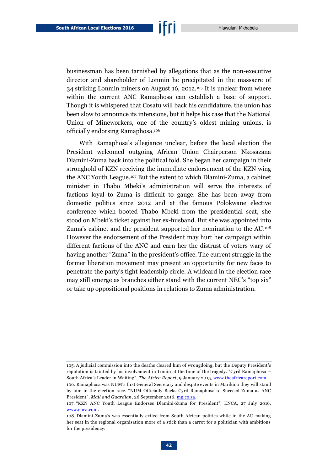businessman has been tarnished by allegations that as the non-executive director and shareholder of Lonmin he precipitated in the massacre of 34 striking Lonmin miners on August 16, 2012.<sup>105</sup> It is unclear from where within the current ANC Ramaphosa can establish a base of support. Though it is whispered that Cosatu will back his candidature, the union has been slow to announce its intensions, but it helps his case that the National Union of Mineworkers, one of the country's oldest mining unions, is officially endorsing Ramaphosa.<sup>106</sup>

With Ramaphosa's allegiance unclear, before the local election the President welcomed outgoing African Union Chairperson Nkosazana Dlamini-Zuma back into the political fold. She began her campaign in their stronghold of KZN receiving the immediate endorsement of the KZN wing the ANC Youth League.<sup>107</sup> But the extent to which Dlamini-Zuma, a cabinet minister in Thabo Mbeki's administration will serve the interests of factions loyal to Zuma is difficult to gauge. She has been away from domestic politics since 2012 and at the famous Polokwane elective conference which booted Thabo Mbeki from the presidential seat, she stood on Mbeki's ticket against her ex-husband. But she was appointed into Zuma's cabinet and the president supported her nomination to the AU.<sup>108</sup> However the endorsement of the President may hurt her campaign within different factions of the ANC and earn her the distrust of voters wary of having another "Zuma" in the president's office. The current struggle in the former liberation movement may present an opportunity for new faces to penetrate the party's tight leadership circle. A wildcard in the election race may still emerge as branches either stand with the current NEC's "top six" or take up oppositional positions in relations to Zuma administration.

<sup>105.</sup> A judicial commission into the deaths cleared him of wrongdoing, but the Deputy President's reputation is tainted by his involvement in Lomin at the time of the tragedy. "Cyril Ramaphosa – South Africa's Leader in Waiting", *The Africa Report*, 9 January 2015[, www.theafricareport.com.](http://www.theafricareport.com/Southern-Africa/cyril-ramaphosa-south-africas-leader-in-waiting.html) 106. Ramaphosa was NUM's first General Secretary and despite events in Marikina they will stand by him in the election race. "NUM Officially Backs Cyril Ramaphosa to Succeed Zuma as ANC President", *Mail and Guardian*, 26 September 2016, [mg.co.za.](http://mg.co.za/article/2016-09-26-num-enters-anc-succession-debate-launches-ramaphosa-4-president-campaign)

<sup>107.</sup> "KZN ANC Youth League Endorses Dlamini-Zuma for President", ENCA, 27 July 2016, [www.enca.com.](https://www.enca.com/south-africa/kzn-anc-youth-league-endorses-dlamini-zuma-for-president)

<sup>108.</sup> Dlamini-Zuma's was essentially exiled from South African politics while in the AU making her seat in the regional organisation more of a stick than a carrot for a politician with ambitions for the presidency.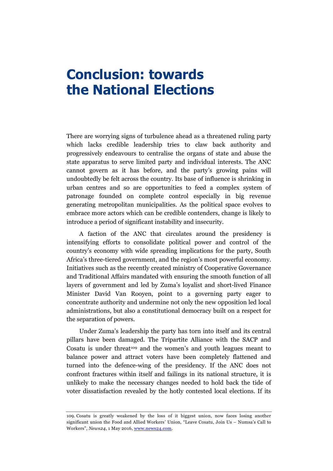## <span id="page-44-0"></span>**Conclusion: towards the National Elections**

There are worrying signs of turbulence ahead as a threatened ruling party which lacks credible leadership tries to claw back authority and progressively endeavours to centralise the organs of state and abuse the state apparatus to serve limited party and individual interests. The ANC cannot govern as it has before, and the party's growing pains will undoubtedly be felt across the country. Its base of influence is shrinking in urban centres and so are opportunities to feed a complex system of patronage founded on complete control especially in big revenue generating metropolitan municipalities. As the political space evolves to embrace more actors which can be credible contenders, change is likely to introduce a period of significant instability and insecurity.

A faction of the ANC that circulates around the presidency is intensifying efforts to consolidate political power and control of the country's economy with wide spreading implications for the party, South Africa's three-tiered government, and the region's most powerful economy. Initiatives such as the recently created ministry of Cooperative Governance and Traditional Affairs mandated with ensuring the smooth function of all layers of government and led by Zuma's loyalist and short-lived Finance Minister David Van Rooyen, point to a governing party eager to concentrate authority and undermine not only the new opposition led local administrations, but also a constitutional democracy built on a respect for the separation of powers.

Under Zuma's leadership the party has torn into itself and its central pillars have been damaged. The Tripartite Alliance with the SACP and Cosatu is under threat<sup>109</sup> and the women's and youth leagues meant to balance power and attract voters have been completely flattened and turned into the defence-wing of the presidency. If the ANC does not confront fractures within itself and failings in its national structure, it is unlikely to make the necessary changes needed to hold back the tide of voter dissatisfaction revealed by the hotly contested local elections. If its

<sup>109.</sup> Cosatu is greatly weakened by the loss of it biggest union, now faces losing another significant union the Food and Allied Workers' Union, "Leave Cosatu, Join Us – Numsa's Call to Workers", *News24*, 1 May 2016, [www.news24.com.](http://www.news24.com/SouthAfrica/News/leave-cosatu-join-us-irvin-jims-call-to-workers-20160501)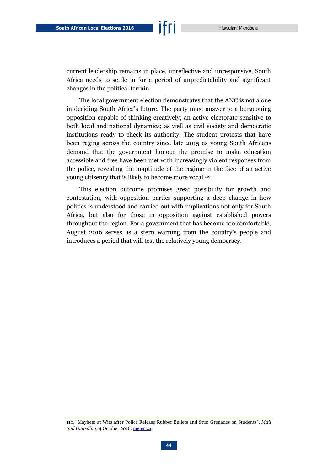current leadership remains in place, unreflective and unresponsive, South Africa needs to settle in for a period of unpredictability and significant changes in the political terrain.

The local government election demonstrates that the ANC is not alone in deciding South Africa's future. The party must answer to a burgeoning opposition capable of thinking creatively; an active electorate sensitive to both local and national dynamics; as well as civil society and democratic institutions ready to check its authority. The student protests that have been raging across the country since late 2015 as young South Africans demand that the government honour the promise to make education accessible and free have been met with increasingly violent responses from the police, revealing the inaptitude of the regime in the face of an active young citizenry that is likely to become more vocal.<sup>110</sup>

This election outcome promises great possibility for growth and contestation, with opposition parties supporting a deep change in how politics is understood and carried out with implications not only for South Africa, but also for those in opposition against established powers throughout the region. For a government that has become too comfortable, August 2016 serves as a stern warning from the country's people and introduces a period that will test the relatively young democracy.

<sup>110.</sup> "Mayhem at Wits after Police Release Rubber Bullets and Stun Grenades on Students", *Mail and Guardian*, 4 October 2016, [mg.co.za.](http://mg.co.za/article/2016-10-04-police-reportedly-release-rubber-bullets-and-stun-grenades-on-peaceful-students/)